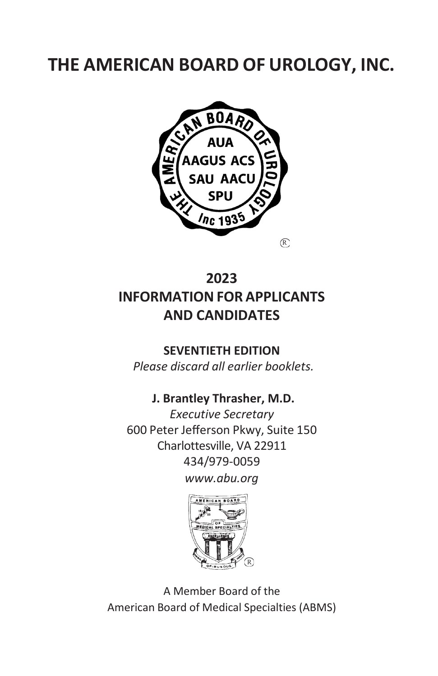# **THE AMERICAN BOARD OF UROLOGY, INC.**



## **2023 INFORMATION FOR APPLICANTS AND CANDIDATES**

#### **SEVENTIETH EDITION**

*Please discard all earlier booklets.*

## **J. Brantley Thrasher, M.D.**

*Executive Secretary* 600 Peter Jefferson Pkwy, Suite 150 Charlottesville, VA 22911 434/979-0059 *[www.abu.org](http://www.abu.org/)*



A Member Board of the American Board of Medical Specialties (ABMS)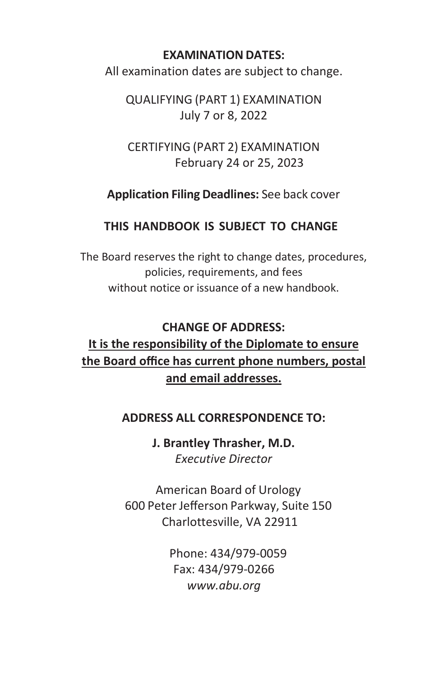#### **EXAMINATION DATES:**

All examination dates are subject to change.

QUALIFYING (PART 1) EXAMINATION July 7 or 8, 2022

CERTIFYING (PART 2) EXAMINATION February 24 or 25, 2023

**Application Filing Deadlines:** See back cover

#### **THIS HANDBOOK IS SUBJECT TO CHANGE**

The Board reserves the right to change dates, procedures, policies, requirements, and fees without notice or issuance of a new handbook.

## **CHANGE OF ADDRESS: It is the responsibility of the Diplomate to ensure the Board office has current phone numbers, postal and email addresses.**

#### **ADDRESS ALL CORRESPONDENCE TO:**

**J. Brantley Thrasher, M.D.** *Executive Director*

American Board of Urology 600 Peter Jefferson Parkway, Suite 150 Charlottesville, VA 22911

> Phone: 434/979-0059 Fax: 434/979-0266 *[www.abu.org](http://www.abu.org/)*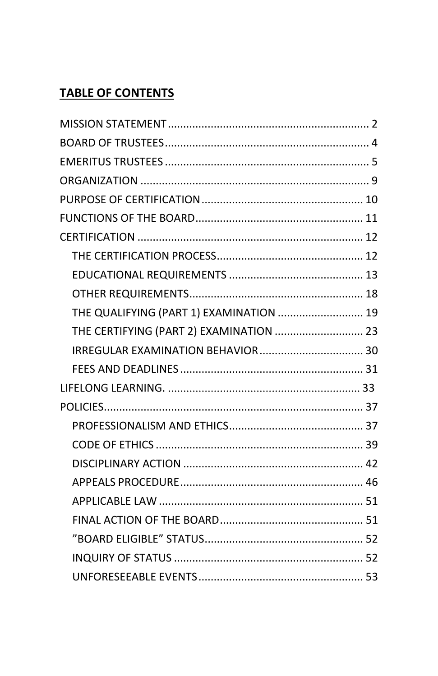## **TABLE OF CONTENTS**

| THE QUALIFYING (PART 1) EXAMINATION  19 |  |
|-----------------------------------------|--|
| THE CERTIFYING (PART 2) EXAMINATION  23 |  |
|                                         |  |
|                                         |  |
|                                         |  |
|                                         |  |
|                                         |  |
|                                         |  |
|                                         |  |
|                                         |  |
|                                         |  |
|                                         |  |
|                                         |  |
|                                         |  |
|                                         |  |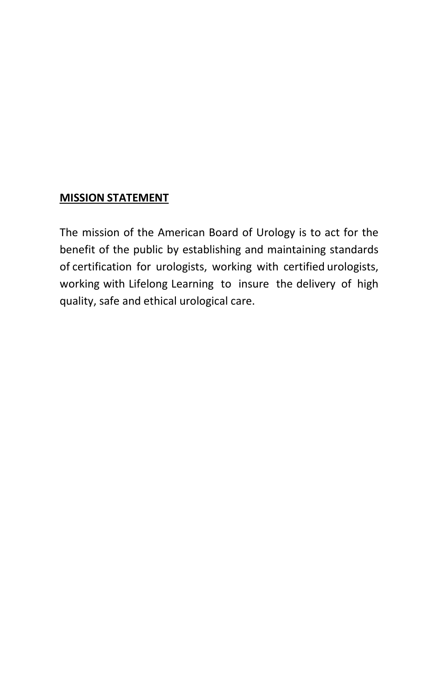#### <span id="page-3-0"></span>**MISSION STATEMENT**

The mission of the American Board of Urology is to act for the benefit of the public by establishing and maintaining standards of certification for urologists, working with certified urologists, working with Lifelong Learning to insure the delivery of high quality, safe and ethical urological care.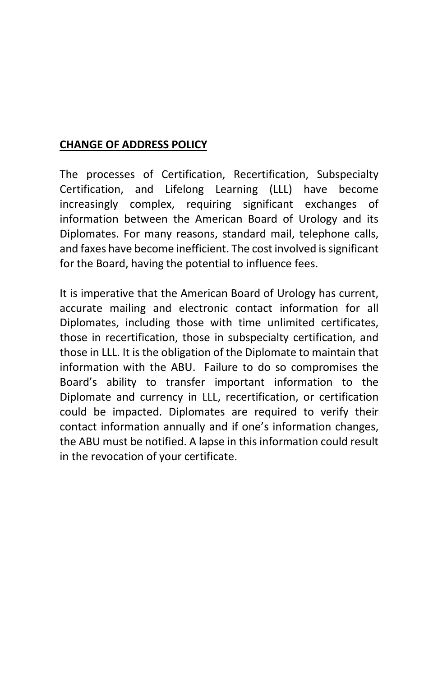#### **CHANGE OF ADDRESS POLICY**

The processes of Certification, Recertification, Subspecialty Certification, and Lifelong Learning (LLL) have become increasingly complex, requiring significant exchanges of information between the American Board of Urology and its Diplomates. For many reasons, standard mail, telephone calls, and faxes have become inefficient. The cost involved is significant for the Board, having the potential to influence fees.

It is imperative that the American Board of Urology has current, accurate mailing and electronic contact information for all Diplomates, including those with time unlimited certificates, those in recertification, those in subspecialty certification, and those in LLL. It is the obligation of the Diplomate to maintain that information with the ABU. Failure to do so compromises the Board's ability to transfer important information to the Diplomate and currency in LLL, recertification, or certification could be impacted. Diplomates are required to verify their contact information annually and if one's information changes, the ABU must be notified. A lapse in this information could result in the revocation of your certificate.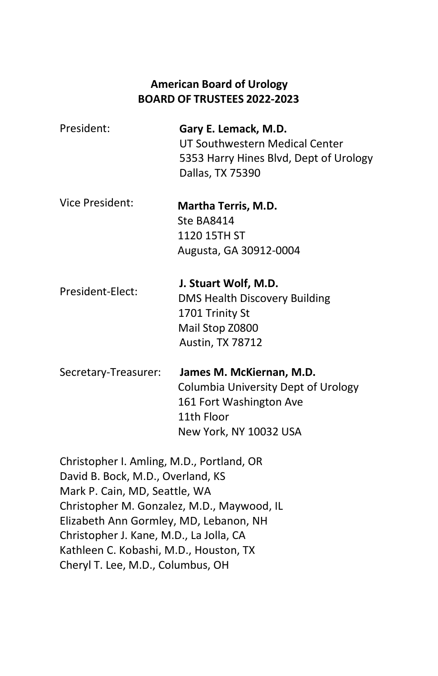#### **American Board of Urology BOARD OF TRUSTEES 2022-2023**

- <span id="page-5-0"></span>President: **Gary E. Lemack, M.D.** UT Southwestern Medical Center 5353 Harry Hines Blvd, Dept of Urology Dallas, TX 75390
- Vice President: **Martha Terris, M.D.** Ste BA8414 1120 15TH ST Augusta, GA 30912-0004
- President-Elect: **J. Stuart Wolf, M.D.** DMS Health Discovery Building 1701 Trinity St Mail Stop Z0800 Austin, TX 78712
- Secretary-Treasurer: **James M. McKiernan, M.D.** Columbia University Dept of Urology 161 Fort Washington Ave 11th Floor New York, NY 10032 USA
- Christopher I. Amling, M.D., Portland, OR David B. Bock, M.D., Overland, KS Mark P. Cain, MD, Seattle, WA Christopher M. Gonzalez, M.D., Maywood, IL Elizabeth Ann Gormley, MD, Lebanon, NH Christopher J. Kane, M.D., La Jolla, CA Kathleen C. Kobashi, M.D., Houston, TX Cheryl T. Lee, M.D., Columbus, OH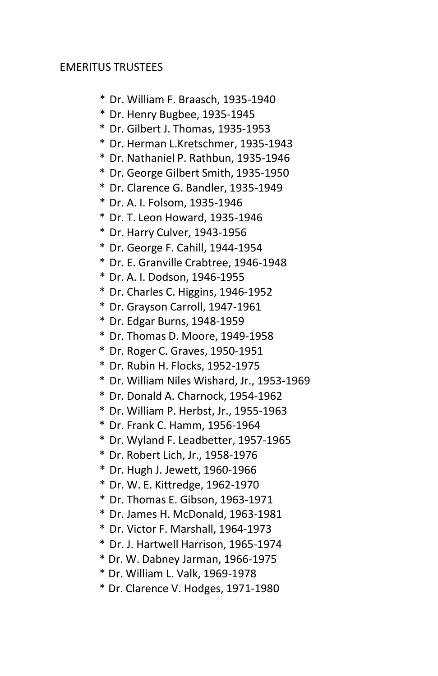#### <span id="page-6-0"></span>EMERITUS TRUSTEES

- \* Dr. William F. Braasch, 1935-1940
- \* Dr. Henry Bugbee, 1935-1945
- \* Dr. Gilbert J. Thomas, 1935-1953
- \* Dr. Herman L.Kretschmer, 1935-1943
- \* Dr. Nathaniel P. Rathbun, 1935-1946
- \* Dr. George Gilbert Smith, 1935-1950
- \* Dr. Clarence G. Bandler, 1935-1949
- \* Dr. A. I. Folsom, 1935-1946
- \* Dr. T. Leon Howard, 1935-1946
- \* Dr. Harry Culver, 1943-1956
- \* Dr. George F. Cahill, 1944-1954
- \* Dr. E. Granville Crabtree, 1946-1948
- \* Dr. A. I. Dodson, 1946-1955
- \* Dr. Charles C. Higgins, 1946-1952
- \* Dr. Grayson Carroll, 1947-1961
- \* Dr. Edgar Burns, 1948-1959
- \* Dr. Thomas D. Moore, 1949-1958
- \* Dr. Roger C. Graves, 1950-1951
- \* Dr. Rubin H. Flocks, 1952-1975
- \* Dr. William Niles Wishard, Jr., 1953-1969
- \* Dr. Donald A. Charnock, 1954-1962
- \* Dr. William P. Herbst, Jr., 1955-1963
- \* Dr. Frank C. Hamm, 1956-1964
- \* Dr. Wyland F. Leadbetter, 1957-1965
- \* Dr. Robert Lich, Jr., 1958-1976
- \* Dr. Hugh J. Jewett, 1960-1966
- \* Dr. W. E. Kittredge, 1962-1970
- \* Dr. Thomas E. Gibson, 1963-1971
- \* Dr. James H. McDonald, 1963-1981
- \* Dr. Victor F. Marshall, 1964-1973
- \* Dr. J. Hartwell Harrison, 1965-1974
- \* Dr. W. Dabney Jarman, 1966-1975
- \* Dr. William L. Valk, 1969-1978
- \* Dr. Clarence V. Hodges, 1971-1980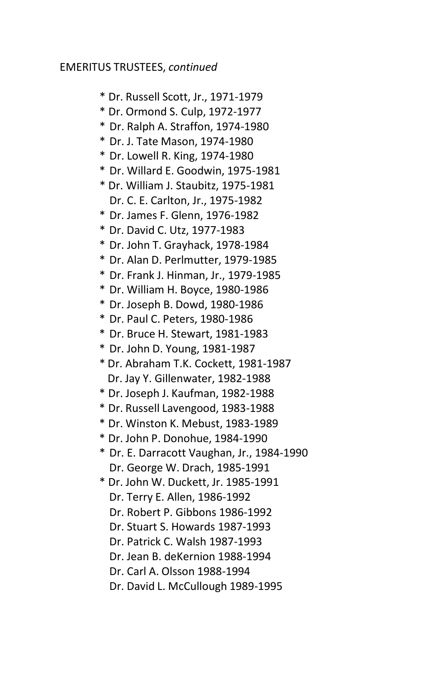#### EMERITUS TRUSTEES, *continued*

- \* Dr. Russell Scott, Jr., 1971-1979
- \* Dr. Ormond S. Culp, 1972-1977
- \* Dr. Ralph A. Straffon, 1974-1980
- \* Dr. J. Tate Mason, 1974-1980
- \* Dr. Lowell R. King, 1974-1980
- \* Dr. Willard E. Goodwin, 1975-1981
- \* Dr. William J. Staubitz, 1975-1981 Dr. C. E. Carlton, Jr., 1975-1982
- \* Dr. James F. Glenn, 1976-1982
- \* Dr. David C. Utz, 1977-1983
- \* Dr. John T. Grayhack, 1978-1984
- \* Dr. Alan D. Perlmutter, 1979-1985
- \* Dr. Frank J. Hinman, Jr., 1979-1985
- \* Dr. William H. Boyce, 1980-1986
- \* Dr. Joseph B. Dowd, 1980-1986
- \* Dr. Paul C. Peters, 1980-1986
- \* Dr. Bruce H. Stewart, 1981-1983
- \* Dr. John D. Young, 1981-1987
- \* Dr. Abraham T.K. Cockett, 1981-1987 Dr. Jay Y. Gillenwater, 1982-1988
- \* Dr. Joseph J. Kaufman, 1982-1988
- \* Dr. Russell Lavengood, 1983-1988
- \* Dr. Winston K. Mebust, 1983-1989
- \* Dr. John P. Donohue, 1984-1990
- \* Dr. E. Darracott Vaughan, Jr., 1984-1990 Dr. George W. Drach, 1985-1991
- \* Dr. John W. Duckett, Jr. 1985-1991 Dr. Terry E. Allen, 1986-1992 Dr. Robert P. Gibbons 1986-1992
	- Dr. Stuart S. Howards 1987-1993
	- Dr. Patrick C. Walsh 1987-1993
	- Dr. Jean B. deKernion 1988-1994
	- Dr. Carl A. Olsson 1988-1994
	- Dr. David L. McCullough 1989-1995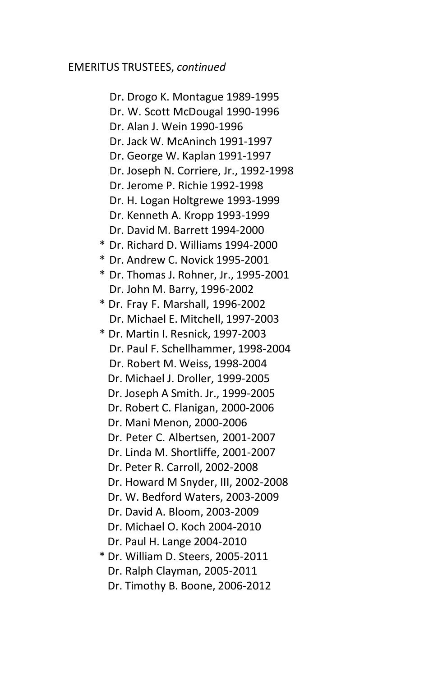#### EMERITUS TRUSTEES, *continued*

Dr. Drogo K. Montague 1989-1995 Dr. W. Scott McDougal 1990-1996 Dr. Alan J. Wein 1990-1996 Dr. Jack W. McAninch 1991-1997 Dr. George W. Kaplan 1991-1997 Dr. Joseph N. Corriere, Jr., 1992-1998 Dr. Jerome P. Richie 1992-1998 Dr. H. Logan Holtgrewe 1993-1999 Dr. Kenneth A. Kropp 1993-1999 Dr. David M. Barrett 1994-2000 \* Dr. Richard D. Williams 1994-2000 \* Dr. Andrew C. Novick 1995-2001 \* Dr. Thomas J. Rohner, Jr., 1995-2001 Dr. John M. Barry, 1996-2002 \* Dr. Fray F. Marshall, 1996-2002 Dr. Michael E. Mitchell, 1997-2003 \* Dr. Martin I. Resnick, 1997-2003 Dr. Paul F. Schellhammer, 1998-2004 Dr. Robert M. Weiss, 1998-2004 Dr. Michael J. Droller, 1999-2005 Dr. Joseph A Smith. Jr., 1999-2005 Dr. Robert C. Flanigan, 2000-2006 Dr. Mani Menon, 2000-2006 Dr. Peter C. Albertsen, 2001-2007 Dr. Linda M. Shortliffe, 2001-2007 Dr. Peter R. Carroll, 2002-2008 Dr. Howard M Snyder, III, 2002-2008 Dr. W. Bedford Waters, 2003-2009 Dr. David A. Bloom, 2003-2009 Dr. Michael O. Koch 2004-2010 Dr. Paul H. Lange 2004-2010 \* Dr. William D. Steers, 2005-2011 Dr. Ralph Clayman, 2005-2011

Dr. Timothy B. Boone, 2006-2012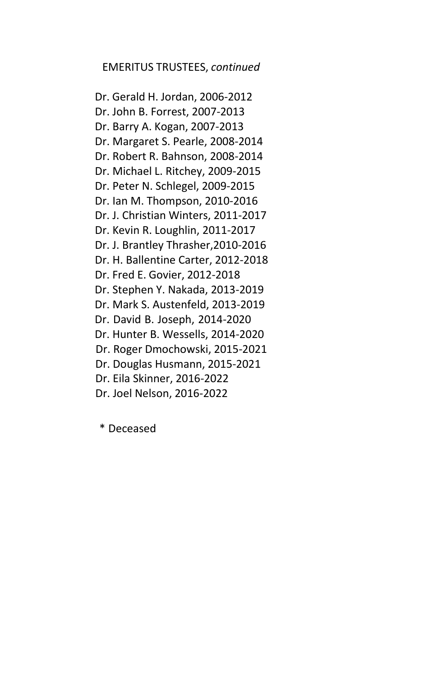#### EMERITUS TRUSTEES, *continued*

Dr. Gerald H. Jordan, 2006-2012 Dr. John B. Forrest, 2007-2013 Dr. Barry A. Kogan, 2007-2013 Dr. Margaret S. Pearle, 2008-2014 Dr. Robert R. Bahnson, 2008-2014 Dr. Michael L. Ritchey, 2009-2015 Dr. Peter N. Schlegel, 2009-2015 Dr. Ian M. Thompson, 2010-2016 Dr. J. Christian Winters, 2011-2017 Dr. Kevin R. Loughlin, 2011-2017 Dr. J. Brantley Thrasher,2010-2016 Dr. H. Ballentine Carter, 2012-2018 Dr. Fred E. Govier, 2012-2018 Dr. Stephen Y. Nakada, 2013-2019 Dr. Mark S. Austenfeld, 2013-2019 Dr. David B. Joseph, 2014-2020 Dr. Hunter B. Wessells, 2014-2020 Dr. Roger Dmochowski, 2015-2021 Dr. Douglas Husmann, 2015-2021 Dr. Eila Skinner, 2016-2022 Dr. Joel Nelson, 2016-2022

\* Deceased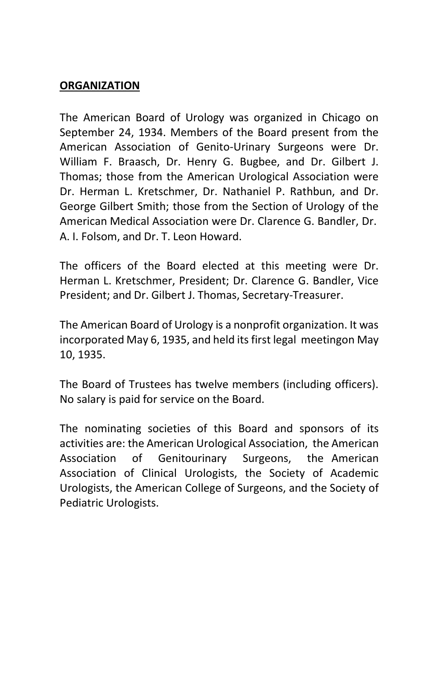#### <span id="page-10-0"></span>**ORGANIZATION**

The American Board of Urology was organized in Chicago on September 24, 1934. Members of the Board present from the American Association of Genito-Urinary Surgeons were Dr. William F. Braasch, Dr. Henry G. Bugbee, and Dr. Gilbert J. Thomas; those from the American Urological Association were Dr. Herman L. Kretschmer, Dr. Nathaniel P. Rathbun, and Dr. George Gilbert Smith; those from the Section of Urology of the American Medical Association were Dr. Clarence G. Bandler, Dr. A. I. Folsom, and Dr. T. Leon Howard.

The officers of the Board elected at this meeting were Dr. Herman L. Kretschmer, President; Dr. Clarence G. Bandler, Vice President; and Dr. Gilbert J. Thomas, Secretary-Treasurer.

The American Board of Urology is a nonprofit organization. It was incorporated May 6, 1935, and held its first legal meetingon May 10, 1935.

The Board of Trustees has twelve members (including officers). No salary is paid for service on the Board.

The nominating societies of this Board and sponsors of its activities are: the American Urological Association, the American Association of Genitourinary Surgeons, the American Association of Clinical Urologists, the Society of Academic Urologists, the American College of Surgeons, and the Society of Pediatric Urologists.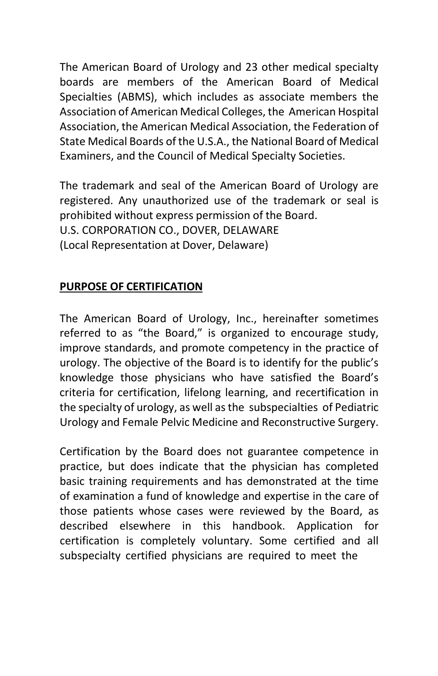The American Board of Urology and 23 other medical specialty boards are members of the American Board of Medical Specialties (ABMS), which includes as associate members the Association of American Medical Colleges, the American Hospital Association, the American Medical Association, the Federation of State Medical Boards of the U.S.A., the National Board of Medical Examiners, and the Council of Medical Specialty Societies.

The trademark and seal of the American Board of Urology are registered. Any unauthorized use of the trademark or seal is prohibited without express permission of the Board. U.S. CORPORATION CO., DOVER, DELAWARE (Local Representation at Dover, Delaware)

## <span id="page-11-0"></span>**PURPOSE OF CERTIFICATION**

The American Board of Urology, Inc., hereinafter sometimes referred to as "the Board," is organized to encourage study, improve standards, and promote competency in the practice of urology. The objective of the Board is to identify for the public's knowledge those physicians who have satisfied the Board's criteria for certification, lifelong learning, and recertification in the specialty of urology, as well asthe subspecialties of Pediatric Urology and Female Pelvic Medicine and Reconstructive Surgery.

Certification by the Board does not guarantee competence in practice, but does indicate that the physician has completed basic training requirements and has demonstrated at the time of examination a fund of knowledge and expertise in the care of those patients whose cases were reviewed by the Board, as described elsewhere in this handbook. Application for certification is completely voluntary. Some certified and all subspecialty certified physicians are required to meet the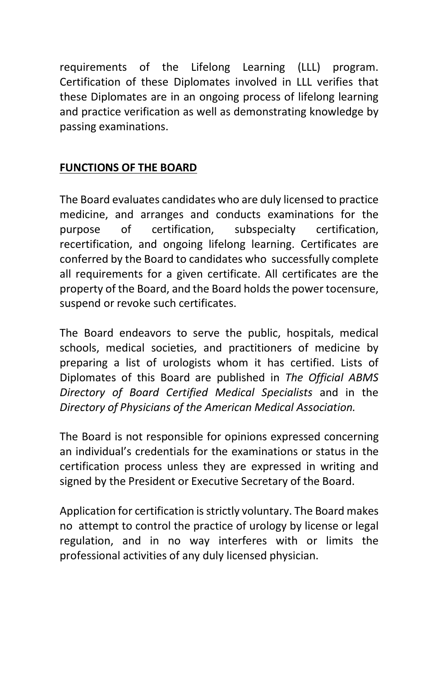requirements of the Lifelong Learning (LLL) program. Certification of these Diplomates involved in LLL verifies that these Diplomates are in an ongoing process of lifelong learning and practice verification as well as demonstrating knowledge by passing examinations.

## <span id="page-12-0"></span>**FUNCTIONS OF THE BOARD**

The Board evaluates candidates who are duly licensed to practice medicine, and arranges and conducts examinations for the purpose of certification, subspecialty certification, recertification, and ongoing lifelong learning. Certificates are conferred by the Board to candidates who successfully complete all requirements for a given certificate. All certificates are the property of the Board, and the Board holds the power tocensure, suspend or revoke such certificates.

The Board endeavors to serve the public, hospitals, medical schools, medical societies, and practitioners of medicine by preparing a list of urologists whom it has certified. Lists of Diplomates of this Board are published in *The Official ABMS Directory of Board Certified Medical Specialists* and in the *Directory of Physicians of the American Medical Association.*

The Board is not responsible for opinions expressed concerning an individual's credentials for the examinations or status in the certification process unless they are expressed in writing and signed by the President or Executive Secretary of the Board.

Application for certification is strictly voluntary. The Board makes no attempt to control the practice of urology by license or legal regulation, and in no way interferes with or limits the professional activities of any duly licensed physician.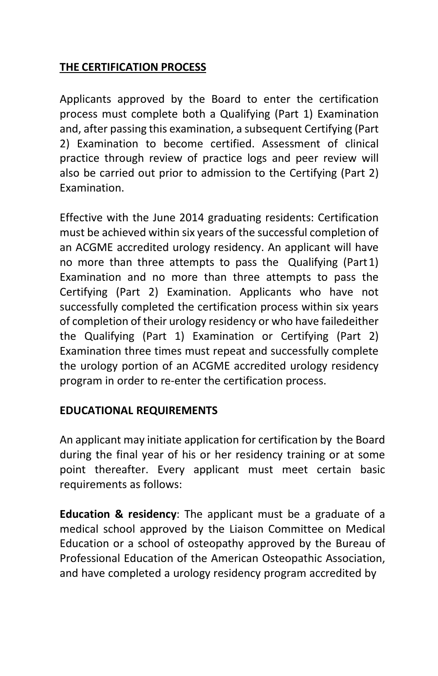### <span id="page-13-0"></span>**THE CERTIFICATION PROCESS**

<span id="page-13-1"></span>Applicants approved by the Board to enter the certification process must complete both a Qualifying (Part 1) Examination and, after passing this examination, a subsequent Certifying (Part 2) Examination to become certified. Assessment of clinical practice through review of practice logs and peer review will also be carried out prior to admission to the Certifying (Part 2) Examination.

Effective with the June 2014 graduating residents: Certification must be achieved within six years of the successful completion of an ACGME accredited urology residency. An applicant will have no more than three attempts to pass the Qualifying (Part1) Examination and no more than three attempts to pass the Certifying (Part 2) Examination. Applicants who have not successfully completed the certification process within six years of completion of their urology residency or who have failedeither the Qualifying (Part 1) Examination or Certifying (Part 2) Examination three times must repeat and successfully complete the urology portion of an ACGME accredited urology residency program in order to re-enter the certification process.

#### **EDUCATIONAL REQUIREMENTS**

An applicant may initiate application for certification by the Board during the final year of his or her residency training or at some point thereafter. Every applicant must meet certain basic requirements as follows:

**Education & residency**: The applicant must be a graduate of a medical school approved by the Liaison Committee on Medical Education or a school of osteopathy approved by the Bureau of Professional Education of the American Osteopathic Association, and have completed a urology residency program accredited by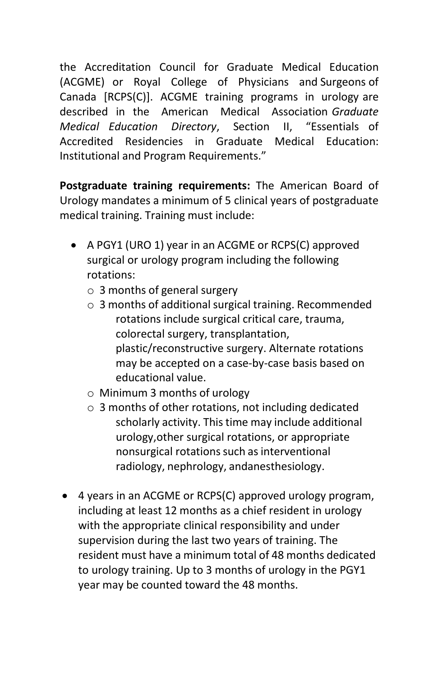the Accreditation Council for Graduate Medical Education (ACGME) or Royal College of Physicians and Surgeons of Canada [RCPS(C)]. ACGME training programs in urology are described in the American Medical Association *Graduate Medical Education Directory*, Section II, "Essentials of Accredited Residencies in Graduate Medical Education: Institutional and Program Requirements."

**Postgraduate training requirements:** The American Board of Urology mandates a minimum of 5 clinical years of postgraduate medical training. Training must include:

- <span id="page-14-0"></span>• A PGY1 (URO 1) year in an ACGME or RCPS(C) approved surgical or urology program including the following rotations:
	- o 3 months of general surgery
	- $\circ$  3 months of additional surgical training. Recommended rotations include surgical critical care, trauma, colorectal surgery, transplantation, plastic/reconstructive surgery. Alternate rotations may be accepted on a case-by-case basis based on educational value.
	- o Minimum 3 months of urology
	- o 3 months of other rotations, not including dedicated scholarly activity. This time may include additional urology,other surgical rotations, or appropriate nonsurgical rotations such as interventional radiology, nephrology, andanesthesiology.
- 4 years in an ACGME or RCPS(C) approved urology program, including at least 12 months as a chief resident in urology with the appropriate clinical responsibility and under supervision during the last two years of training. The resident must have a minimum total of 48 months dedicated to urology training. Up to 3 months of urology in the PGY1 year may be counted toward the 48 months.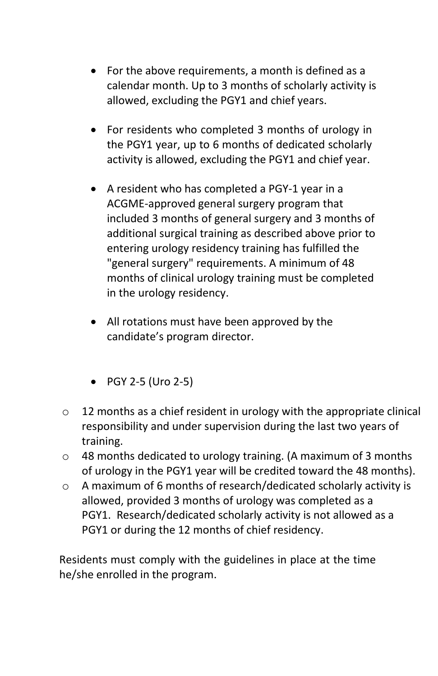- For the above requirements, a month is defined as a calendar month. Up to 3 months of scholarly activity is allowed, excluding the PGY1 and chief years.
- For residents who completed 3 months of urology in the PGY1 year, up to 6 months of dedicated scholarly activity is allowed, excluding the PGY1 and chief year.
- A resident who has completed a PGY-1 year in a ACGME-approved general surgery program that included 3 months of general surgery and 3 months of additional surgical training as described above prior to entering urology residency training has fulfilled the "general surgery" requirements. A minimum of 48 months of clinical urology training must be completed in the urology residency.
- All rotations must have been approved by the candidate's program director.
- PGY 2-5 (Uro 2-5)
- $\circ$  12 months as a chief resident in urology with the appropriate clinical responsibility and under supervision during the last two years of training.
- o 48 months dedicated to urology training. (A maximum of 3 months of urology in the PGY1 year will be credited toward the 48 months).
- o A maximum of 6 months of research/dedicated scholarly activity is allowed, provided 3 months of urology was completed as a PGY1. Research/dedicated scholarly activity is not allowed as a PGY1 or during the 12 months of chief residency.

Residents must comply with the guidelines in place at the time he/she enrolled in the program.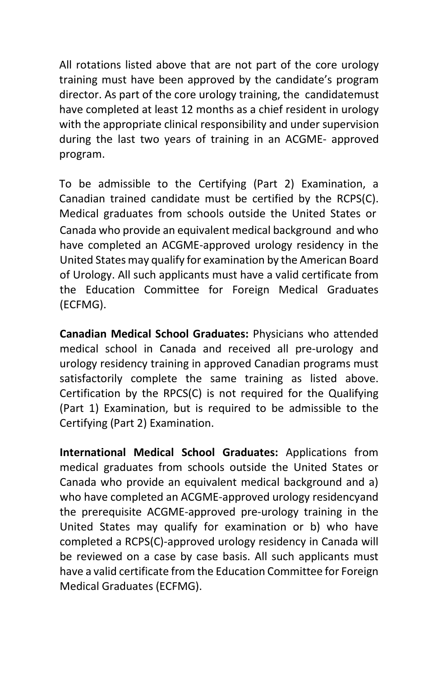All rotations listed above that are not part of the core urology training must have been approved by the candidate's program director. As part of the core urology training, the candidatemust have completed at least 12 months as a chief resident in urology with the appropriate clinical responsibility and under supervision during the last two years of training in an ACGME- approved program.

To be admissible to the Certifying (Part 2) Examination, a Canadian trained candidate must be certified by the RCPS(C). Medical graduates from schools outside the United States or Canada who provide an equivalent medical background and who have completed an ACGME-approved urology residency in the United States may qualify for examination by the American Board of Urology. All such applicants must have a valid certificate from the Education Committee for Foreign Medical Graduates (ECFMG).

**Canadian Medical School Graduates:** Physicians who attended medical school in Canada and received all pre-urology and urology residency training in approved Canadian programs must satisfactorily complete the same training as listed above. Certification by the RPCS(C) is not required for the Qualifying (Part 1) Examination, but is required to be admissible to the Certifying (Part 2) Examination.

**International Medical School Graduates:** Applications from medical graduates from schools outside the United States or Canada who provide an equivalent medical background and a) who have completed an ACGME-approved urology residencyand the prerequisite ACGME-approved pre-urology training in the United States may qualify for examination or b) who have completed a RCPS(C)-approved urology residency in Canada will be reviewed on a case by case basis. All such applicants must have a valid certificate from the Education Committee for Foreign Medical Graduates (ECFMG).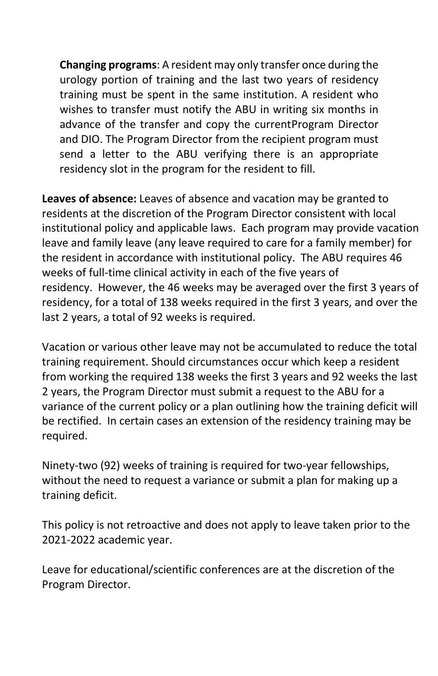**Changing programs**: A resident may only transfer once during the urology portion of training and the last two years of residency training must be spent in the same institution. A resident who wishes to transfer must notify the ABU in writing six months in advance of the transfer and copy the currentProgram Director and DIO. The Program Director from the recipient program must send a letter to the ABU verifying there is an appropriate residency slot in the program for the resident to fill.

**Leaves of absence:** Leaves of absence and vacation may be granted to residents at the discretion of the Program Director consistent with local institutional policy and applicable laws. Each program may provide vacation leave and family leave (any leave required to care for a family member) for the resident in accordance with institutional policy. The ABU requires 46 weeks of full-time clinical activity in each of the five years of residency. However, the 46 weeks may be averaged over the first 3 years of residency, for a total of 138 weeks required in the first 3 years, and over the last 2 years, a total of 92 weeks is required.

Vacation or various other leave may not be accumulated to reduce the total training requirement. Should circumstances occur which keep a resident from working the required 138 weeks the first 3 years and 92 weeks the last 2 years, the Program Director must submit a request to the ABU for a variance of the current policy or a plan outlining how the training deficit will be rectified. In certain cases an extension of the residency training may be required.

Ninety-two (92) weeks of training is required for two-year fellowships, without the need to request a variance or submit a plan for making up a training deficit.

This policy is not retroactive and does not apply to leave taken prior to the 2021-2022 academic year.

Leave for educational/scientific conferences are at the discretion of the Program Director.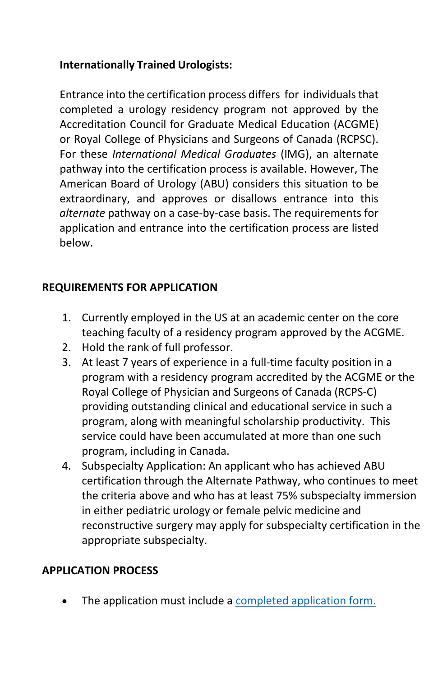## **Internationally Trained Urologists:**

Entrance into the certification process differs for individualsthat completed a urology residency program not approved by the Accreditation Council for Graduate Medical Education (ACGME) or Royal College of Physicians and Surgeons of Canada (RCPSC). For these *International Medical Graduates* (IMG), an alternate pathway into the certification process is available. However, The American Board of Urology (ABU) considers this situation to be extraordinary, and approves or disallows entrance into this *alternate* pathway on a case-by-case basis. The requirements for application and entrance into the certification process are listed below.

### **REQUIREMENTS FOR APPLICATION**

- 1. Currently employed in the US at an academic center on the core teaching faculty of a residency program approved by the ACGME.
- 2. Hold the rank of full professor.
- 3. At least 7 years of experience in a full-time faculty position in a program with a residency program accredited by the ACGME or the Royal College of Physician and Surgeons of Canada (RCPS-C) providing outstanding clinical and educational service in such a program, along with meaningful scholarship productivity. This service could have been accumulated at more than one such program, including in Canada.
- 4. Subspecialty Application: An applicant who has achieved ABU certification through the Alternate Pathway, who continues to meet the criteria above and who has at least 75% subspecialty immersion in either pediatric urology or female pelvic medicine and reconstructive surgery may apply for subspecialty certification in the appropriate subspecialty.

#### **APPLICATION PROCESS**

The application must include a [completed application form.](https://www.abu.org/images/pdfs/Alternate_Pathway_Application.docx)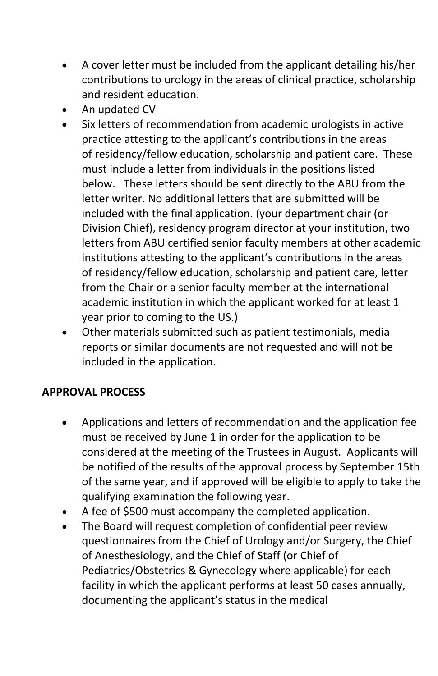- A cover letter must be included from the applicant detailing his/her contributions to urology in the areas of clinical practice, scholarship and resident education.
- An updated CV
- Six letters of recommendation from academic urologists in active practice attesting to the applicant's contributions in the areas of residency/fellow education, scholarship and patient care. These must include a letter from individuals in the positions listed below. These letters should be sent directly to the ABU from the letter writer. No additional letters that are submitted will be included with the final application. (your department chair (or Division Chief), residency program director at your institution, two letters from ABU certified senior faculty members at other academic institutions attesting to the applicant's contributions in the areas of residency/fellow education, scholarship and patient care, letter from the Chair or a senior faculty member at the international academic institution in which the applicant worked for at least 1 year prior to coming to the US.)
- Other materials submitted such as patient testimonials, media reports or similar documents are not requested and will not be included in the application.

## **APPROVAL PROCESS**

- Applications and letters of recommendation and the application fee must be received by June 1 in order for the application to be considered at the meeting of the Trustees in August. Applicants will be notified of the results of the approval process by September 15th of the same year, and if approved will be eligible to apply to take the qualifying examination the following year.
- A fee of \$500 must accompany the completed application.
- The Board will request completion of confidential peer review questionnaires from the Chief of Urology and/or Surgery, the Chief of Anesthesiology, and the Chief of Staff (or Chief of Pediatrics/Obstetrics & Gynecology where applicable) for each facility in which the applicant performs at least 50 cases annually, documenting the applicant's status in the medical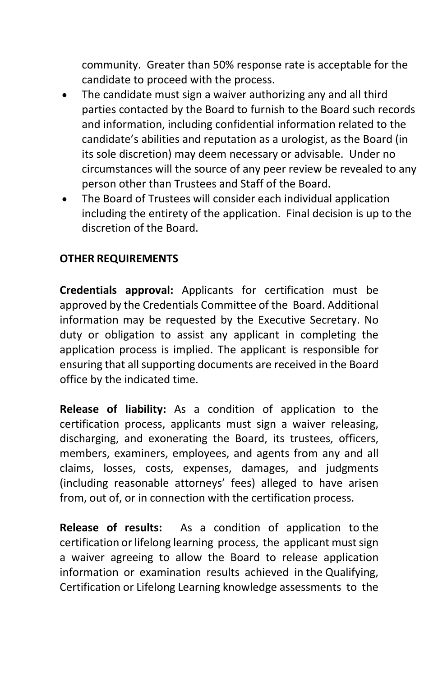community. Greater than 50% response rate is acceptable for the candidate to proceed with the process.

- The candidate must sign a waiver authorizing any and all third parties contacted by the Board to furnish to the Board such records and information, including confidential information related to the candidate's abilities and reputation as a urologist, as the Board (in its sole discretion) may deem necessary or advisable. Under no circumstances will the source of any peer review be revealed to any person other than Trustees and Staff of the Board.
- The Board of Trustees will consider each individual application including the entirety of the application. Final decision is up to the discretion of the Board.

## <span id="page-20-0"></span>**OTHER REQUIREMENTS**

**Credentials approval:** Applicants for certification must be approved by the Credentials Committee of the Board. Additional information may be requested by the Executive Secretary. No duty or obligation to assist any applicant in completing the application process is implied. The applicant is responsible for ensuring that all supporting documents are received in the Board office by the indicated time.

**Release of liability:** As a condition of application to the certification process, applicants must sign a waiver releasing, discharging, and exonerating the Board, its trustees, officers, members, examiners, employees, and agents from any and all claims, losses, costs, expenses, damages, and judgments (including reasonable attorneys' fees) alleged to have arisen from, out of, or in connection with the certification process.

**Release of results:** As a condition of application to the certification or lifelong learning process, the applicant mustsign a waiver agreeing to allow the Board to release application information or examination results achieved in the Qualifying, Certification or Lifelong Learning knowledge assessments to the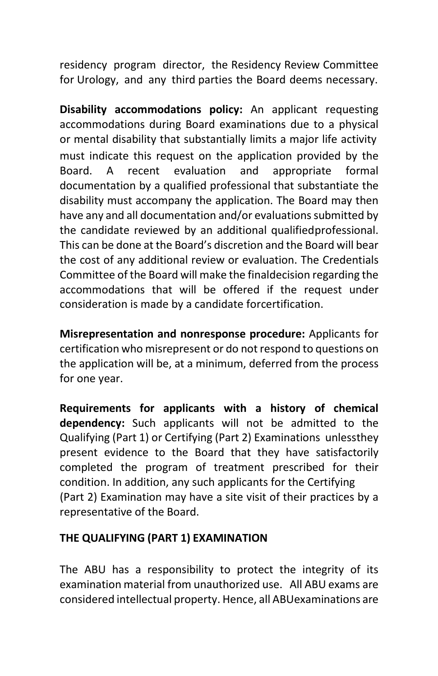residency program director, the Residency Review Committee for Urology, and any third parties the Board deems necessary.

**Disability accommodations policy:** An applicant requesting accommodations during Board examinations due to a physical or mental disability that substantially limits a major life activity must indicate this request on the application provided by the Board. A recent evaluation and appropriate formal documentation by a qualified professional that substantiate the disability must accompany the application. The Board may then have any and all documentation and/or evaluations submitted by the candidate reviewed by an additional qualifiedprofessional. This can be done at the Board's discretion and the Board will bear the cost of any additional review or evaluation. The Credentials Committee of the Board will make the finaldecision regarding the accommodations that will be offered if the request under consideration is made by a candidate forcertification.

**Misrepresentation and nonresponse procedure:** Applicants for certification who misrepresent or do not respond to questions on the application will be, at a minimum, deferred from the process for one year.

**Requirements for applicants with a history of chemical dependency:** Such applicants will not be admitted to the Qualifying (Part 1) or Certifying (Part 2) Examinations unlessthey present evidence to the Board that they have satisfactorily completed the program of treatment prescribed for their condition. In addition, any such applicants for the Certifying (Part 2) Examination may have a site visit of their practices by a representative of the Board.

#### <span id="page-21-0"></span>**THE QUALIFYING (PART 1) EXAMINATION**

The ABU has a responsibility to protect the integrity of its examination material from unauthorized use. All ABU exams are considered intellectual property. Hence, all ABUexaminations are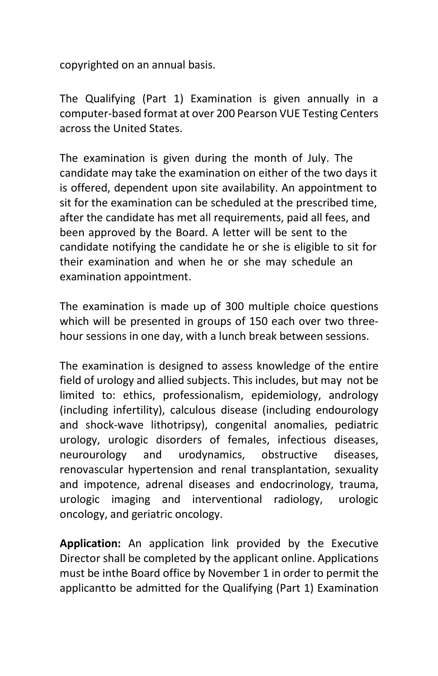copyrighted on an annual basis.

The Qualifying (Part 1) Examination is given annually in a computer-based format at over 200 Pearson VUE Testing Centers across the United States.

The examination is given during the month of July. The candidate may take the examination on either of the two days it is offered, dependent upon site availability. An appointment to sit for the examination can be scheduled at the prescribed time, after the candidate has met all requirements, paid all fees, and been approved by the Board. A letter will be sent to the candidate notifying the candidate he or she is eligible to sit for their examination and when he or she may schedule an examination appointment.

The examination is made up of 300 multiple choice questions which will be presented in groups of 150 each over two threehour sessions in one day, with a lunch break between sessions.

The examination is designed to assess knowledge of the entire field of urology and allied subjects. This includes, but may not be limited to: ethics, professionalism, epidemiology, andrology (including infertility), calculous disease (including endourology and shock-wave lithotripsy), congenital anomalies, pediatric urology, urologic disorders of females, infectious diseases, neurourology and urodynamics, obstructive diseases, renovascular hypertension and renal transplantation, sexuality and impotence, adrenal diseases and endocrinology, trauma, urologic imaging and interventional radiology, urologic oncology, and geriatric oncology.

**Application:** An application link provided by the Executive Director shall be completed by the applicant online. Applications must be inthe Board office by November 1 in order to permit the applicantto be admitted for the Qualifying (Part 1) Examination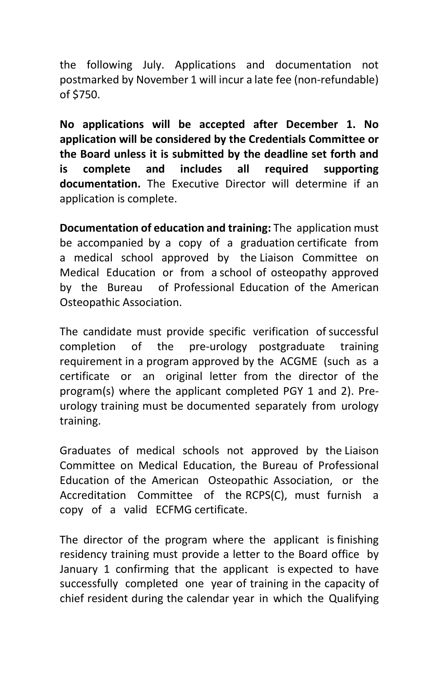the following July. Applications and documentation not postmarked by November 1 will incur a late fee (non-refundable) of \$750.

**No applications will be accepted after December 1. No application will be considered by the Credentials Committee or the Board unless it is submitted by the deadline set forth and is complete and includes all required supporting documentation.** The Executive Director will determine if an application is complete.

**Documentation of education and training:** The application must be accompanied by a copy of a graduation certificate from a medical school approved by the Liaison Committee on Medical Education or from a school of osteopathy approved by the Bureau of Professional Education of the American Osteopathic Association.

The candidate must provide specific verification of successful completion of the pre-urology postgraduate training requirement in a program approved by the ACGME (such as a certificate or an original letter from the director of the program(s) where the applicant completed PGY 1 and 2). Preurology training must be documented separately from urology training.

Graduates of medical schools not approved by the Liaison Committee on Medical Education, the Bureau of Professional Education of the American Osteopathic Association, or the Accreditation Committee of the RCPS(C), must furnish a copy of a valid ECFMG certificate.

The director of the program where the applicant is finishing residency training must provide a letter to the Board office by January 1 confirming that the applicant is expected to have successfully completed one year of training in the capacity of chief resident during the calendar year in which the Qualifying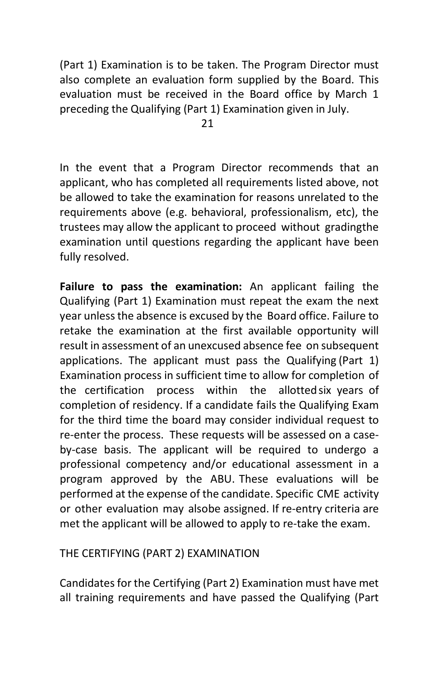(Part 1) Examination is to be taken. The Program Director must also complete an evaluation form supplied by the Board. This evaluation must be received in the Board office by March 1 preceding the Qualifying (Part 1) Examination given in July.

In the event that a Program Director recommends that an applicant, who has completed all requirements listed above, not be allowed to take the examination for reasons unrelated to the requirements above (e.g. behavioral, professionalism, etc), the trustees may allow the applicant to proceed without gradingthe examination until questions regarding the applicant have been fully resolved.

**Failure to pass the examination:** An applicant failing the Qualifying (Part 1) Examination must repeat the exam the next year unless the absence is excused by the Board office. Failure to retake the examination at the first available opportunity will result in assessment of an unexcused absence fee on subsequent applications. The applicant must pass the Qualifying (Part 1) Examination process in sufficient time to allow for completion of the certification process within the allottedsix years of completion of residency. If a candidate fails the Qualifying Exam for the third time the board may consider individual request to re-enter the process. These requests will be assessed on a caseby-case basis. The applicant will be required to undergo a professional competency and/or educational assessment in a program approved by the ABU. These evaluations will be performed at the expense of the candidate. Specific CME activity or other evaluation may alsobe assigned. If re-entry criteria are met the applicant will be allowed to apply to re-take the exam.

#### THE CERTIFYING (PART 2) EXAMINATION

Candidates for the Certifying (Part 2) Examination must have met all training requirements and have passed the Qualifying (Part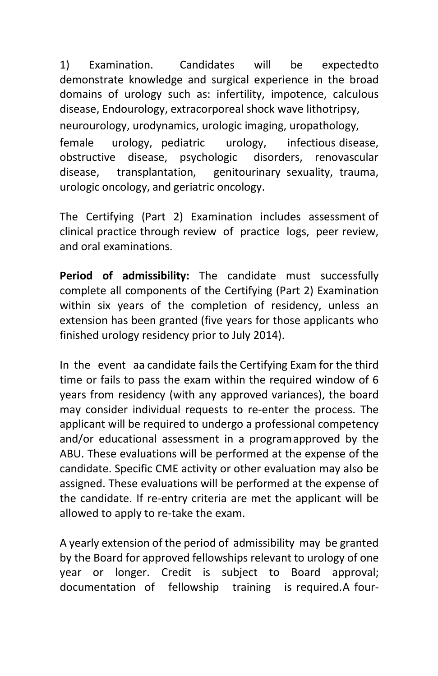1) Examination. Candidates will be expected to demonstrate knowledge and surgical experience in the broad domains of urology such as: infertility, impotence, calculous disease, Endourology, extracorporeal shock wave lithotripsy, neurourology, urodynamics, urologic imaging, uropathology, female urology, pediatric urology, infectious disease, obstructive disease, psychologic disorders, renovascular disease, transplantation, genitourinary sexuality, trauma, urologic oncology, and geriatric oncology.

<span id="page-25-0"></span>The Certifying (Part 2) Examination includes assessment of clinical practice through review of practice logs, peer review, and oral examinations.

**Period of admissibility:** The candidate must successfully complete all components of the Certifying (Part 2) Examination within six years of the completion of residency, unless an extension has been granted (five years for those applicants who finished urology residency prior to July 2014).

In the event aa candidate fails the Certifying Exam for the third time or fails to pass the exam within the required window of 6 years from residency (with any approved variances), the board may consider individual requests to re-enter the process. The applicant will be required to undergo a professional competency and/or educational assessment in a programapproved by the ABU. These evaluations will be performed at the expense of the candidate. Specific CME activity or other evaluation may also be assigned. These evaluations will be performed at the expense of the candidate. If re-entry criteria are met the applicant will be allowed to apply to re-take the exam.

A yearly extension of the period of admissibility may be granted by the Board for approved fellowships relevant to urology of one year or longer. Credit is subject to Board approval; documentation of fellowship training is required.A four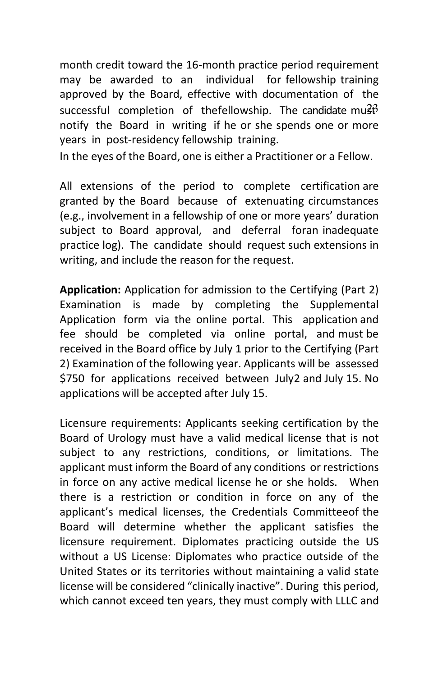month credit toward the 16-month practice period requirement may be awarded to an individual for fellowship training approved by the Board, effective with documentation of the successful completion of thefellowship. The candidate mu $3\beta$ notify the Board in writing if he or she spends one or more years in post-residency fellowship training.

In the eyes of the Board, one is either a Practitioner or a Fellow.

All extensions of the period to complete certification are granted by the Board because of extenuating circumstances (e.g., involvement in a fellowship of one or more years' duration subject to Board approval, and deferral foran inadequate practice log). The candidate should request such extensions in writing, and include the reason for the request.

**Application:** Application for admission to the Certifying (Part 2) Examination is made by completing the Supplemental Application form via the online portal. This application and fee should be completed via online portal, and must be received in the Board office by July 1 prior to the Certifying (Part 2) Examination of the following year. Applicants will be assessed \$750 for applications received between July2 and July 15. No applications will be accepted after July 15.

Licensure requirements: Applicants seeking certification by the Board of Urology must have a valid medical license that is not subject to any restrictions, conditions, or limitations. The applicant must inform the Board of any conditions or restrictions in force on any active medical license he or she holds. When there is a restriction or condition in force on any of the applicant's medical licenses, the Credentials Committeeof the Board will determine whether the applicant satisfies the licensure requirement. Diplomates practicing outside the US without a US License: Diplomates who practice outside of the United States or its territories without maintaining a valid state license will be considered "clinically inactive". During this period, which cannot exceed ten years, they must comply with LLLC and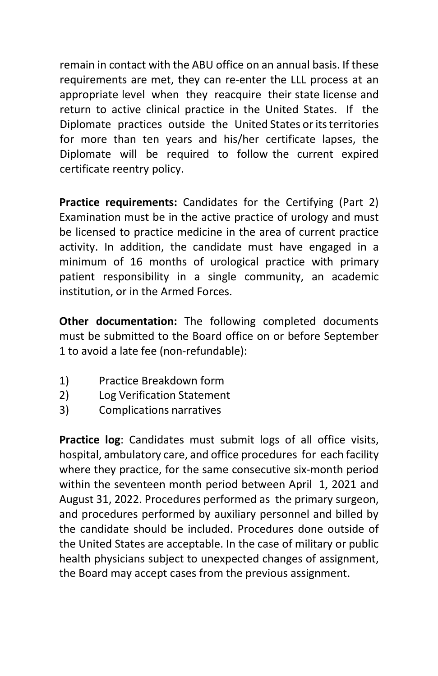remain in contact with the ABU office on an annual basis. If these requirements are met, they can re-enter the LLL process at an appropriate level when they reacquire their state license and return to active clinical practice in the United States. If the Diplomate practices outside the United States or its territories for more than ten years and his/her certificate lapses, the Diplomate will be required to follow the current expired certificate reentry policy.

**Practice requirements:** Candidates for the Certifying (Part 2) Examination must be in the active practice of urology and must be licensed to practice medicine in the area of current practice activity. In addition, the candidate must have engaged in a minimum of 16 months of urological practice with primary patient responsibility in a single community, an academic institution, or in the Armed Forces.

**Other documentation:** The following completed documents must be submitted to the Board office on or before September 1 to avoid a late fee (non-refundable):

- 1) Practice Breakdown form
- 2) Log Verification Statement
- 3) Complications narratives

**Practice log**: Candidates must submit logs of all office visits, hospital, ambulatory care, and office procedures for each facility where they practice, for the same consecutive six-month period within the seventeen month period between April 1, 2021 and August 31, 2022. Procedures performed as the primary surgeon, and procedures performed by auxiliary personnel and billed by the candidate should be included. Procedures done outside of the United States are acceptable. In the case of military or public health physicians subject to unexpected changes of assignment, the Board may accept cases from the previous assignment.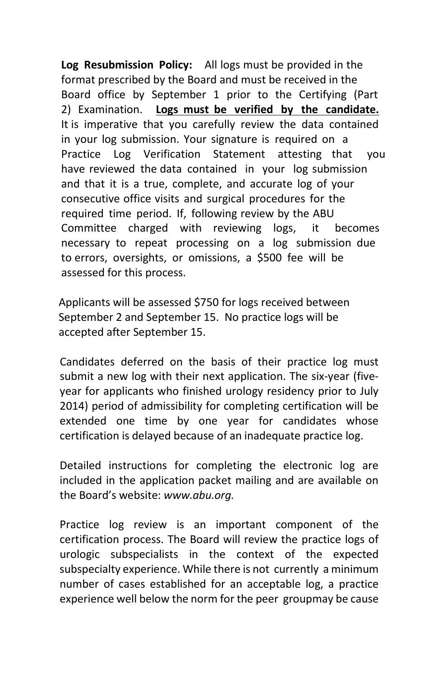**Log Resubmission Policy:** All logs must be provided in the format prescribed by the Board and must be received in the Board office by September 1 prior to the Certifying (Part 2) Examination. **Logs must be verified by the candidate.** It is imperative that you carefully review the data contained in your log submission. Your signature is required on a Practice Log Verification Statement attesting that you have reviewed the data contained in your log submission and that it is a true, complete, and accurate log of your consecutive office visits and surgical procedures for the required time period. If, following review by the ABU Committee charged with reviewing logs, it becomes necessary to repeat processing on a log submission due to errors, oversights, or omissions, a \$500 fee will be assessed for this process.

 Applicants will be assessed \$750 for logs received between September 2 and September 15. No practice logs will be accepted after September 15.

Candidates deferred on the basis of their practice log must submit a new log with their next application. The six-year (fiveyear for applicants who finished urology residency prior to July 2014) period of admissibility for completing certification will be extended one time by one year for candidates whose certification is delayed because of an inadequate practice log.

Detailed instructions for completing the electronic log are included in the application packet mailing and are available on the Board's website: *[www.abu.org.](http://www.abu.org/)*

Practice log review is an important component of the certification process. The Board will review the practice logs of urologic subspecialists in the context of the expected subspecialty experience. While there is not currently a minimum number of cases established for an acceptable log, a practice experience well below the norm for the peer groupmay be cause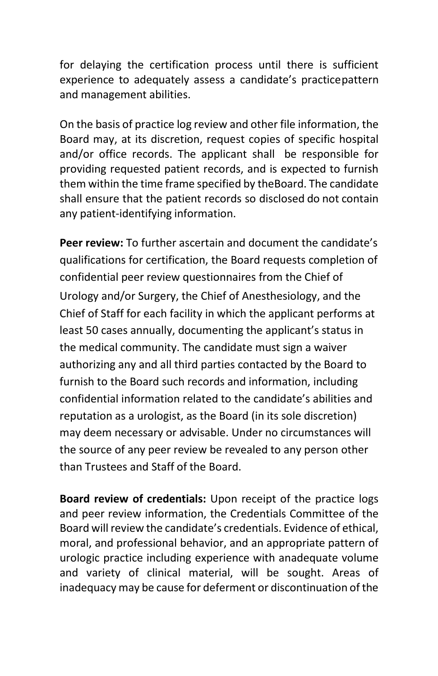for delaying the certification process until there is sufficient experience to adequately assess a candidate's practicepattern and management abilities.

On the basis of practice log review and other file information, the Board may, at its discretion, request copies of specific hospital and/or office records. The applicant shall be responsible for providing requested patient records, and is expected to furnish them within the time frame specified by theBoard. The candidate shall ensure that the patient records so disclosed do not contain any patient-identifying information.

**Peer review:** To further ascertain and document the candidate's qualifications for certification, the Board requests completion of confidential peer review questionnaires from the Chief of Urology and/or Surgery, the Chief of Anesthesiology, and the Chief of Staff for each facility in which the applicant performs at least 50 cases annually, documenting the applicant's status in the medical community. The candidate must sign a waiver authorizing any and all third parties contacted by the Board to furnish to the Board such records and information, including confidential information related to the candidate's abilities and reputation as a urologist, as the Board (in its sole discretion) may deem necessary or advisable. Under no circumstances will the source of any peer review be revealed to any person other than Trustees and Staff of the Board.

**Board review of credentials:** Upon receipt of the practice logs and peer review information, the Credentials Committee of the Board will review the candidate's credentials. Evidence of ethical, moral, and professional behavior, and an appropriate pattern of urologic practice including experience with anadequate volume and variety of clinical material, will be sought. Areas of inadequacy may be cause for deferment or discontinuation of the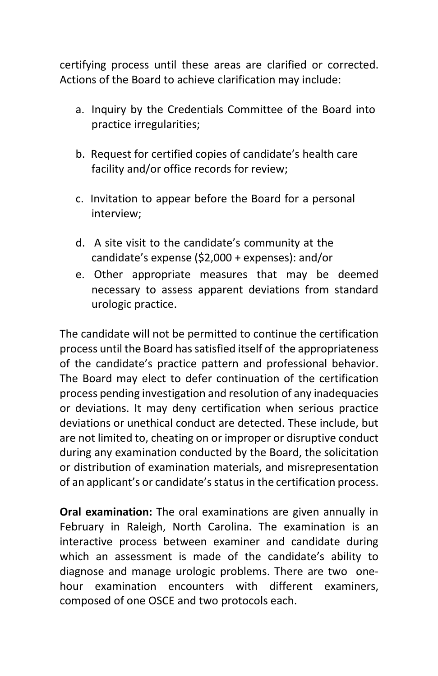certifying process until these areas are clarified or corrected. Actions of the Board to achieve clarification may include:

- a. Inquiry by the Credentials Committee of the Board into practice irregularities;
- b. Request for certified copies of candidate's health care facility and/or office records for review;
- c. Invitation to appear before the Board for a personal interview;
- d. A site visit to the candidate's community at the candidate's expense (\$2,000 + expenses): and/or
- e. Other appropriate measures that may be deemed necessary to assess apparent deviations from standard urologic practice.

The candidate will not be permitted to continue the certification process until the Board has satisfied itself of the appropriateness of the candidate's practice pattern and professional behavior. The Board may elect to defer continuation of the certification process pending investigation and resolution of any inadequacies or deviations. It may deny certification when serious practice deviations or unethical conduct are detected. These include, but are not limited to, cheating on or improper or disruptive conduct during any examination conducted by the Board, the solicitation or distribution of examination materials, and misrepresentation of an applicant's or candidate's status in the certification process.

**Oral examination:** The oral examinations are given annually in February in Raleigh, North Carolina. The examination is an interactive process between examiner and candidate during which an assessment is made of the candidate's ability to diagnose and manage urologic problems. There are two onehour examination encounters with different examiners, composed of one OSCE and two protocols each.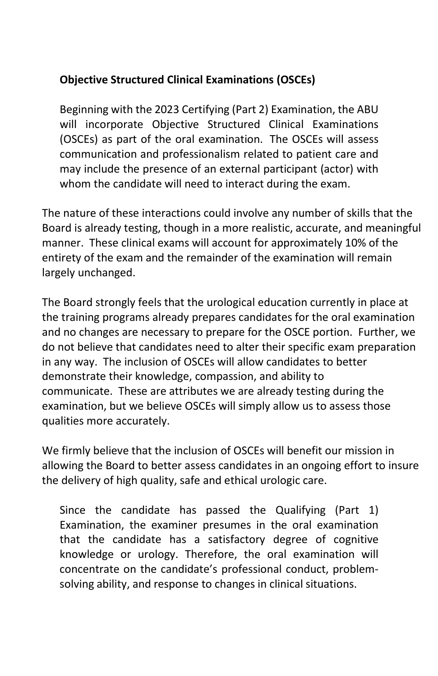### **Objective Structured Clinical Examinations (OSCEs)**

Beginning with the 2023 Certifying (Part 2) Examination, the ABU will incorporate Objective Structured Clinical Examinations (OSCEs) as part of the oral examination. The OSCEs will assess communication and professionalism related to patient care and may include the presence of an external participant (actor) with whom the candidate will need to interact during the exam.

The nature of these interactions could involve any number of skills that the Board is already testing, though in a more realistic, accurate, and meaningful manner. These clinical exams will account for approximately 10% of the entirety of the exam and the remainder of the examination will remain largely unchanged.

The Board strongly feels that the urological education currently in place at the training programs already prepares candidates for the oral examination and no changes are necessary to prepare for the OSCE portion. Further, we do not believe that candidates need to alter their specific exam preparation in any way. The inclusion of OSCEs will allow candidates to better demonstrate their knowledge, compassion, and ability to communicate. These are attributes we are already testing during the examination, but we believe OSCEs will simply allow us to assess those qualities more accurately.

We firmly believe that the inclusion of OSCEs will benefit our mission in allowing the Board to better assess candidates in an ongoing effort to insure the delivery of high quality, safe and ethical urologic care.

Since the candidate has passed the Qualifying (Part 1) Examination, the examiner presumes in the oral examination that the candidate has a satisfactory degree of cognitive knowledge or urology. Therefore, the oral examination will concentrate on the candidate's professional conduct, problemsolving ability, and response to changes in clinical situations.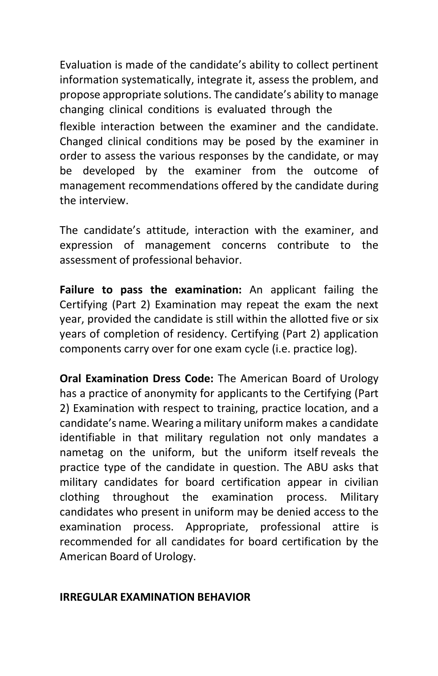Evaluation is made of the candidate's ability to collect pertinent information systematically, integrate it, assess the problem, and propose appropriate solutions. The candidate's ability to manage changing clinical conditions is evaluated through the flexible interaction between the examiner and the candidate. Changed clinical conditions may be posed by the examiner in order to assess the various responses by the candidate, or may be developed by the examiner from the outcome of management recommendations offered by the candidate during the interview.

The candidate's attitude, interaction with the examiner, and expression of management concerns contribute to the assessment of professional behavior.

**Failure to pass the examination:** An applicant failing the Certifying (Part 2) Examination may repeat the exam the next year, provided the candidate is still within the allotted five or six years of completion of residency. Certifying (Part 2) application components carry over for one exam cycle (i.e. practice log).

**Oral Examination Dress Code:** The American Board of Urology has a practice of anonymity for applicants to the Certifying (Part 2) Examination with respect to training, practice location, and a candidate's name. Wearing a military uniform makes a candidate identifiable in that military regulation not only mandates a nametag on the uniform, but the uniform itself reveals the practice type of the candidate in question. The ABU asks that military candidates for board certification appear in civilian clothing throughout the examination process. Military candidates who present in uniform may be denied access to the examination process. Appropriate, professional attire is recommended for all candidates for board certification by the American Board of Urology.

#### <span id="page-32-0"></span>**IRREGULAR EXAMINATION BEHAVIOR**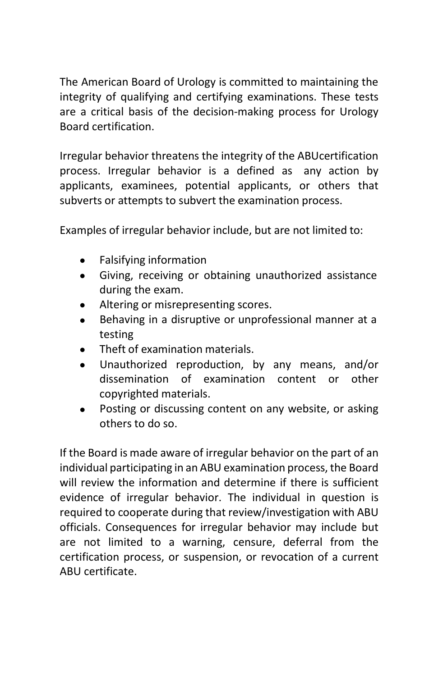The American Board of Urology is committed to maintaining the integrity of qualifying and certifying examinations. These tests are a critical basis of the decision-making process for Urology Board certification.

Irregular behavior threatens the integrity of the ABUcertification process. Irregular behavior is a defined as any action by applicants, examinees, potential applicants, or others that subverts or attempts to subvert the examination process.

Examples of irregular behavior include, but are not limited to:

- Falsifying information
- Giving, receiving or obtaining unauthorized assistance during the exam.
- Altering or misrepresenting scores.
- Behaving in a disruptive or unprofessional manner at a testing
- Theft of examination materials.
- Unauthorized reproduction, by any means, and/or dissemination of examination content or other copyrighted materials.
- Posting or discussing content on any website, or asking others to do so.

If the Board is made aware of irregular behavior on the part of an individual participating in an ABU examination process, the Board will review the information and determine if there is sufficient evidence of irregular behavior. The individual in question is required to cooperate during that review/investigation with ABU officials. Consequences for irregular behavior may include but are not limited to a warning, censure, deferral from the certification process, or suspension, or revocation of a current ABU certificate.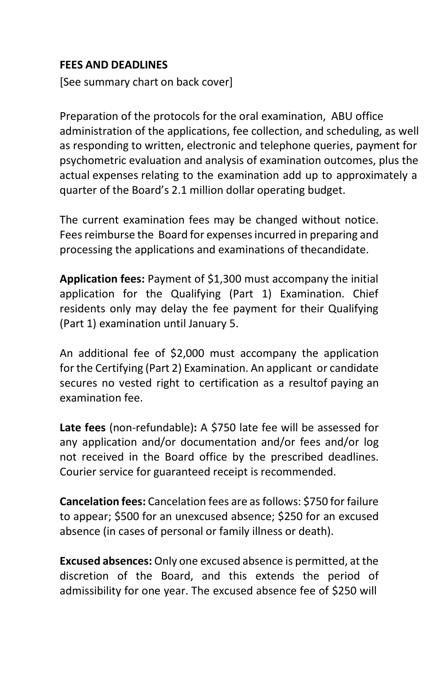#### <span id="page-34-0"></span>**FEES AND DEADLINES**

[See summary chart on back cover]

Preparation of the protocols for the oral examination, ABU office administration of the applications, fee collection, and scheduling, as well as responding to written, electronic and telephone queries, payment for psychometric evaluation and analysis of examination outcomes, plus the actual expenses relating to the examination add up to approximately a quarter of the Board's 2.1 million dollar operating budget.

The current examination fees may be changed without notice. Fees reimburse the Board for expenses incurred in preparing and processing the applications and examinations of thecandidate.

**Application fees:** Payment of \$1,300 must accompany the initial application for the Qualifying (Part 1) Examination. Chief residents only may delay the fee payment for their Qualifying (Part 1) examination until January 5.

An additional fee of \$2,000 must accompany the application for the Certifying (Part 2) Examination. An applicant or candidate secures no vested right to certification as a resultof paying an examination fee.

**Late fees** (non-refundable)**:** A \$750 late fee will be assessed for any application and/or documentation and/or fees and/or log not received in the Board office by the prescribed deadlines. Courier service for guaranteed receipt is recommended.

**Cancelation fees:** Cancelation fees are asfollows: \$750 for failure to appear; \$500 for an unexcused absence; \$250 for an excused absence (in cases of personal or family illness or death).

**Excused absences:** Only one excused absence is permitted, at the discretion of the Board, and this extends the period of admissibility for one year. The excused absence fee of \$250 will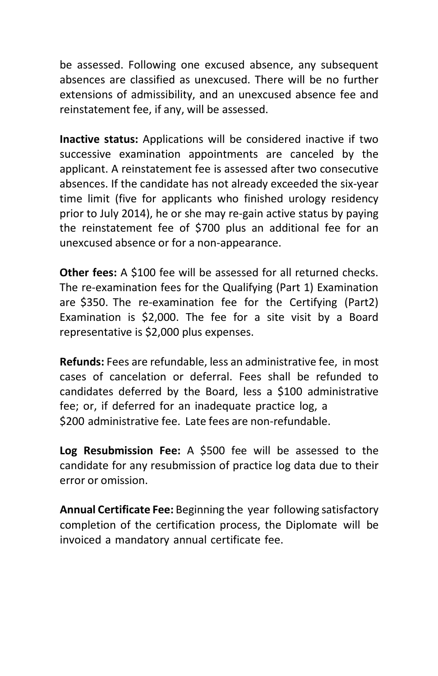be assessed. Following one excused absence, any subsequent absences are classified as unexcused. There will be no further extensions of admissibility, and an unexcused absence fee and reinstatement fee, if any, will be assessed.

**Inactive status:** Applications will be considered inactive if two successive examination appointments are canceled by the applicant. A reinstatement fee is assessed after two consecutive absences. If the candidate has not already exceeded the six-year time limit (five for applicants who finished urology residency prior to July 2014), he or she may re-gain active status by paying the reinstatement fee of \$700 plus an additional fee for an unexcused absence or for a non-appearance.

**Other fees:** A \$100 fee will be assessed for all returned checks. The re-examination fees for the Qualifying (Part 1) Examination are \$350. The re-examination fee for the Certifying (Part2) Examination is \$2,000. The fee for a site visit by a Board representative is \$2,000 plus expenses.

**Refunds:** Fees are refundable, less an administrative fee, in most cases of cancelation or deferral. Fees shall be refunded to candidates deferred by the Board, less a \$100 administrative fee; or, if deferred for an inadequate practice log, a \$200 administrative fee. Late fees are non-refundable.

**Log Resubmission Fee:** A \$500 fee will be assessed to the candidate for any resubmission of practice log data due to their error or omission.

**Annual Certificate Fee:** Beginning the year following satisfactory completion of the certification process, the Diplomate will be invoiced a mandatory annual certificate fee.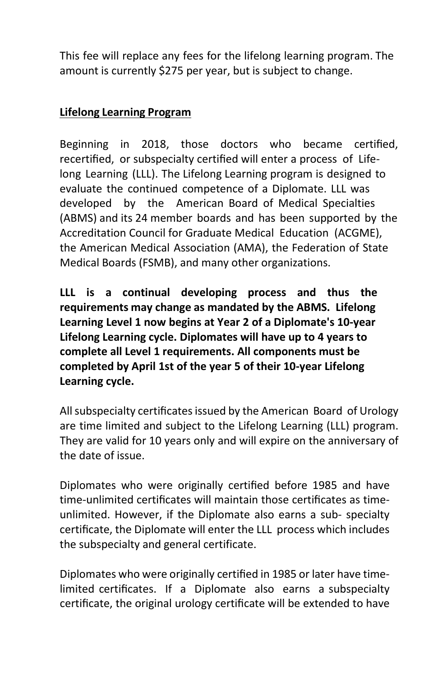This fee will replace any fees for the lifelong learning program. The amount is currently \$275 per year, but is subject to change.

#### **Lifelong Learning Program**

Beginning in 2018, those doctors who became certified, recertified, or subspecialty certified will enter a process of Lifelong Learning (LLL). The Lifelong Learning program is designed to evaluate the continued competence of a Diplomate. LLL was developed by the American Board of Medical Specialties (ABMS) and its 24 member boards and has been supported by the Accreditation Council for Graduate Medical Education (ACGME), the American Medical Association (AMA), the Federation of State Medical Boards (FSMB), and many other organizations.

**LLL is a continual developing process and thus the requirements may change as mandated by the ABMS. Lifelong Learning Level 1 now begins at Year 2 of a Diplomate's 10-year Lifelong Learning cycle. Diplomates will have up to 4 years to complete all Level 1 requirements. All components must be completed by April 1st of the year 5 of their 10-year Lifelong Learning cycle.**

All subspecialty certificates issued by the American Board of Urology are time limited and subject to the Lifelong Learning (LLL) program. They are valid for 10 years only and will expire on the anniversary of the date of issue.

Diplomates who were originally certified before 1985 and have time-unlimited certificates will maintain those certificates as timeunlimited. However, if the Diplomate also earns a sub- specialty certificate, the Diplomate will enter the LLL process which includes the subspecialty and general certificate.

Diplomates who were originally certified in 1985 or later have timelimited certificates. If a Diplomate also earns a subspecialty certificate, the original urology certificate will be extended to have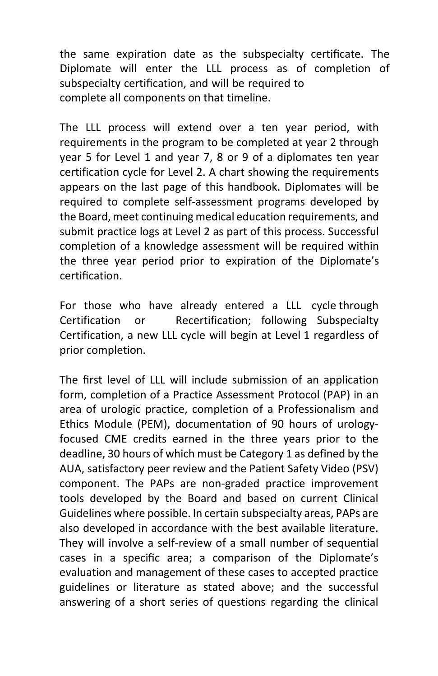the same expiration date as the subspecialty certificate. The Diplomate will enter the LLL process as of completion of subspecialty certification, and will be required to complete all components on that timeline.

The LLL process will extend over a ten year period, with requirements in the program to be completed at year 2 through year 5 for Level 1 and year 7, 8 or 9 of a diplomates ten year certification cycle for Level 2. A chart showing the requirements appears on the last page of this handbook. Diplomates will be required to complete self-assessment programs developed by the Board, meet continuing medical education requirements, and submit practice logs at Level 2 as part of this process. Successful completion of a knowledge assessment will be required within the three year period prior to expiration of the Diplomate's certification.

For those who have already entered a LLL cycle through Certification or Recertification; following Subspecialty Certification, a new LLL cycle will begin at Level 1 regardless of prior completion.

The first level of LLL will include submission of an application form, completion of a Practice Assessment Protocol (PAP) in an area of urologic practice, completion of a Professionalism and Ethics Module (PEM), documentation of 90 hours of urologyfocused CME credits earned in the three years prior to the deadline, 30 hours of which must be Category 1 as defined by the AUA, satisfactory peer review and the Patient Safety Video (PSV) component. The PAPs are non-graded practice improvement tools developed by the Board and based on current Clinical Guidelines where possible. In certain subspecialty areas, PAPs are also developed in accordance with the best available literature. They will involve a self-review of a small number of sequential cases in a specific area; a comparison of the Diplomate's evaluation and management of these cases to accepted practice guidelines or literature as stated above; and the successful answering of a short series of questions regarding the clinical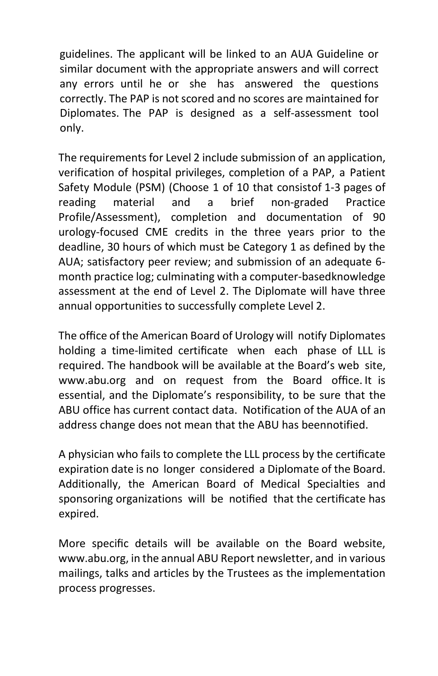guidelines. The applicant will be linked to an AUA Guideline or similar document with the appropriate answers and will correct any errors until he or she has answered the questions correctly. The PAP is not scored and no scores are maintained for Diplomates. The PAP is designed as a self-assessment tool only.

The requirements for Level 2 include submission of an application, verification of hospital privileges, completion of a PAP, a Patient Safety Module (PSM) (Choose 1 of 10 that consistof 1-3 pages of reading material and a brief non-graded Practice Profile/Assessment), completion and documentation of 90 urology-focused CME credits in the three years prior to the deadline, 30 hours of which must be Category 1 as defined by the AUA; satisfactory peer review; and submission of an adequate 6 month practice log; culminating with a computer-basedknowledge assessment at the end of Level 2. The Diplomate will have three annual opportunities to successfully complete Level 2.

The office of the American Board of Urology will notify Diplomates holding a time-limited certificate when each phase of LLL is required. The handbook will be available at the Board's web site, [www.abu.org](http://www.abu.org/) and on request from the Board office. It is essential, and the Diplomate's responsibility, to be sure that the ABU office has current contact data. Notification of the AUA of an address change does not mean that the ABU has beennotified.

A physician who fails to complete the LLL process by the certificate expiration date is no longer considered a Diplomate of the Board. Additionally, the American Board of Medical Specialties and sponsoring organizations will be notified that the certificate has expired.

More specific details will be available on the Board website, [www.abu.org,](http://www.abu.org/) in the annual ABU Report newsletter, and in various mailings, talks and articles by the Trustees as the implementation process progresses.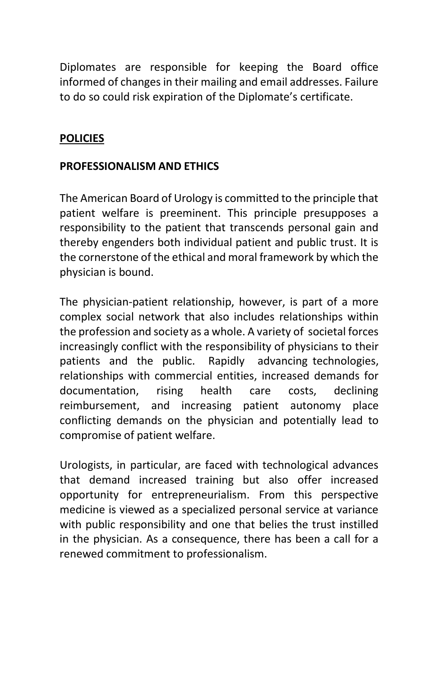Diplomates are responsible for keeping the Board office informed of changes in their mailing and email addresses. Failure to do so could risk expiration of the Diplomate's certificate.

### <span id="page-39-0"></span>**POLICIES**

#### <span id="page-39-1"></span>**PROFESSIONALISM AND ETHICS**

The American Board of Urology is committed to the principle that patient welfare is preeminent. This principle presupposes a responsibility to the patient that transcends personal gain and thereby engenders both individual patient and public trust. It is the cornerstone of the ethical and moral framework by which the physician is bound.

The physician-patient relationship, however, is part of a more complex social network that also includes relationships within the profession and society as a whole. A variety of societal forces increasingly conflict with the responsibility of physicians to their patients and the public. Rapidly advancing technologies, relationships with commercial entities, increased demands for documentation, rising health care costs, declining reimbursement, and increasing patient autonomy place conflicting demands on the physician and potentially lead to compromise of patient welfare.

Urologists, in particular, are faced with technological advances that demand increased training but also offer increased opportunity for entrepreneurialism. From this perspective medicine is viewed as a specialized personal service at variance with public responsibility and one that belies the trust instilled in the physician. As a consequence, there has been a call for a renewed commitment to professionalism.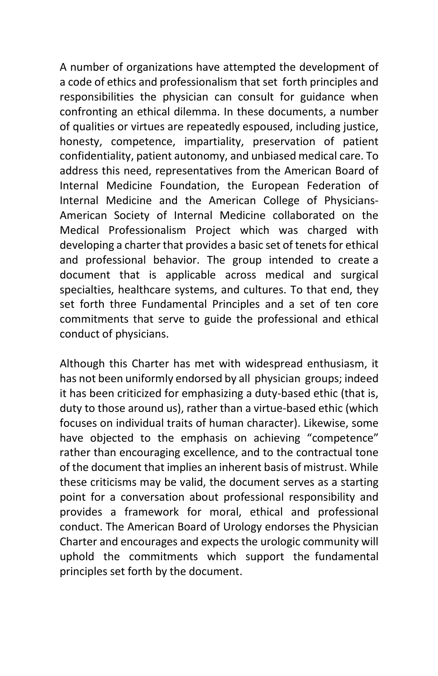A number of organizations have attempted the development of a code of ethics and professionalism that set forth principles and responsibilities the physician can consult for guidance when confronting an ethical dilemma. In these documents, a number of qualities or virtues are repeatedly espoused, including justice, honesty, competence, impartiality, preservation of patient confidentiality, patient autonomy, and unbiased medical care. To address this need, representatives from the American Board of Internal Medicine Foundation, the European Federation of Internal Medicine and the American College of Physicians-American Society of Internal Medicine collaborated on the Medical Professionalism Project which was charged with developing a charter that provides a basic set of tenets for ethical and professional behavior. The group intended to create a document that is applicable across medical and surgical specialties, healthcare systems, and cultures. To that end, they set forth three Fundamental Principles and a set of ten core commitments that serve to guide the professional and ethical conduct of physicians.

Although this Charter has met with widespread enthusiasm, it has not been uniformly endorsed by all physician groups; indeed it has been criticized for emphasizing a duty-based ethic (that is, duty to those around us), rather than a virtue-based ethic (which focuses on individual traits of human character). Likewise, some have objected to the emphasis on achieving "competence" rather than encouraging excellence, and to the contractual tone of the document that implies an inherent basis of mistrust. While these criticisms may be valid, the document serves as a starting point for a conversation about professional responsibility and provides a framework for moral, ethical and professional conduct. The American Board of Urology endorses the Physician Charter and encourages and expects the urologic community will uphold the commitments which support the fundamental principles set forth by the document.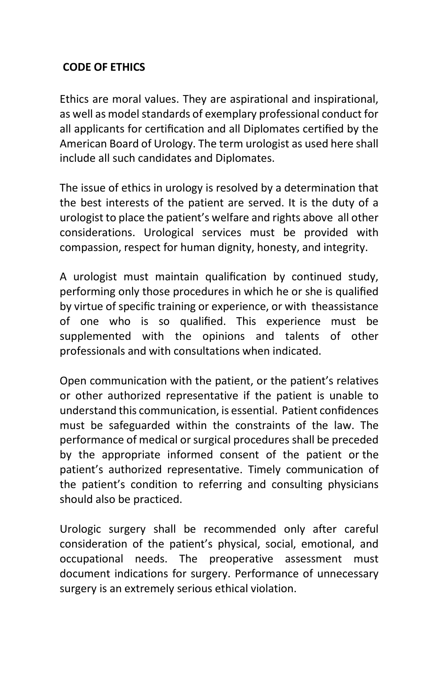#### <span id="page-41-0"></span>**CODE OF ETHICS**

Ethics are moral values. They are aspirational and inspirational, as well as model standards of exemplary professional conduct for all applicants for certification and all Diplomates certified by the American Board of Urology. The term urologist as used here shall include all such candidates and Diplomates.

The issue of ethics in urology is resolved by a determination that the best interests of the patient are served. It is the duty of a urologist to place the patient's welfare and rights above all other considerations. Urological services must be provided with compassion, respect for human dignity, honesty, and integrity.

A urologist must maintain qualification by continued study, performing only those procedures in which he or she is qualified by virtue of specific training or experience, or with theassistance of one who is so qualified. This experience must be supplemented with the opinions and talents of other professionals and with consultations when indicated.

Open communication with the patient, or the patient's relatives or other authorized representative if the patient is unable to understand this communication, is essential. Patient confidences must be safeguarded within the constraints of the law. The performance of medical or surgical procedures shall be preceded by the appropriate informed consent of the patient or the patient's authorized representative. Timely communication of the patient's condition to referring and consulting physicians should also be practiced.

Urologic surgery shall be recommended only after careful consideration of the patient's physical, social, emotional, and occupational needs. The preoperative assessment must document indications for surgery. Performance of unnecessary surgery is an extremely serious ethical violation.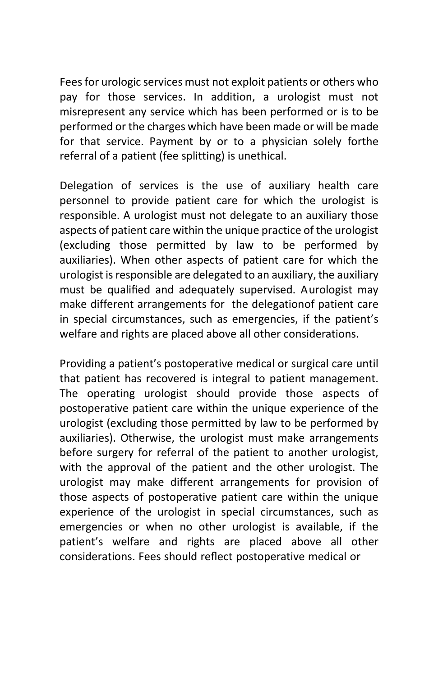Fees for urologic services must not exploit patients or others who pay for those services. In addition, a urologist must not misrepresent any service which has been performed or is to be performed or the charges which have been made or will be made for that service. Payment by or to a physician solely forthe referral of a patient (fee splitting) is unethical.

Delegation of services is the use of auxiliary health care personnel to provide patient care for which the urologist is responsible. A urologist must not delegate to an auxiliary those aspects of patient care within the unique practice of the urologist (excluding those permitted by law to be performed by auxiliaries). When other aspects of patient care for which the urologist isresponsible are delegated to an auxiliary, the auxiliary must be qualified and adequately supervised. Aurologist may make different arrangements for the delegationof patient care in special circumstances, such as emergencies, if the patient's welfare and rights are placed above all other considerations.

Providing a patient's postoperative medical or surgical care until that patient has recovered is integral to patient management. The operating urologist should provide those aspects of postoperative patient care within the unique experience of the urologist (excluding those permitted by law to be performed by auxiliaries). Otherwise, the urologist must make arrangements before surgery for referral of the patient to another urologist, with the approval of the patient and the other urologist. The urologist may make different arrangements for provision of those aspects of postoperative patient care within the unique experience of the urologist in special circumstances, such as emergencies or when no other urologist is available, if the patient's welfare and rights are placed above all other considerations. Fees should reflect postoperative medical or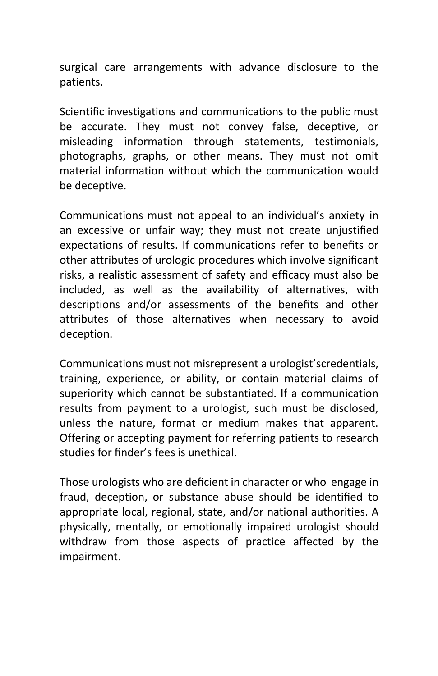surgical care arrangements with advance disclosure to the patients.

Scientific investigations and communications to the public must be accurate. They must not convey false, deceptive, or misleading information through statements, testimonials, photographs, graphs, or other means. They must not omit material information without which the communication would be deceptive.

Communications must not appeal to an individual's anxiety in an excessive or unfair way; they must not create unjustified expectations of results. If communications refer to benefits or other attributes of urologic procedures which involve significant risks, a realistic assessment of safety and efficacy must also be included, as well as the availability of alternatives, with descriptions and/or assessments of the benefits and other attributes of those alternatives when necessary to avoid deception.

Communications must not misrepresent a urologist'scredentials, training, experience, or ability, or contain material claims of superiority which cannot be substantiated. If a communication results from payment to a urologist, such must be disclosed, unless the nature, format or medium makes that apparent. Offering or accepting payment for referring patients to research studies for finder's fees is unethical.

Those urologists who are deficient in character or who engage in fraud, deception, or substance abuse should be identified to appropriate local, regional, state, and/or national authorities. A physically, mentally, or emotionally impaired urologist should withdraw from those aspects of practice affected by the impairment.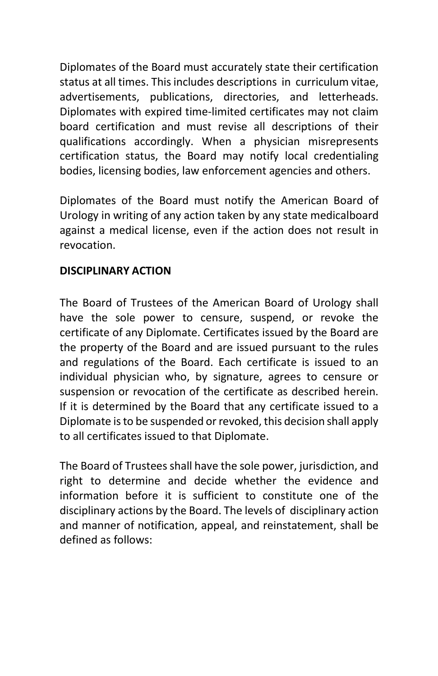Diplomates of the Board must accurately state their certification status at all times. This includes descriptions in curriculum vitae, advertisements, publications, directories, and letterheads. Diplomates with expired time-limited certificates may not claim board certification and must revise all descriptions of their qualifications accordingly. When a physician misrepresents certification status, the Board may notify local credentialing bodies, licensing bodies, law enforcement agencies and others.

Diplomates of the Board must notify the American Board of Urology in writing of any action taken by any state medicalboard against a medical license, even if the action does not result in revocation.

#### <span id="page-44-0"></span>**DISCIPLINARY ACTION**

The Board of Trustees of the American Board of Urology shall have the sole power to censure, suspend, or revoke the certificate of any Diplomate. Certificates issued by the Board are the property of the Board and are issued pursuant to the rules and regulations of the Board. Each certificate is issued to an individual physician who, by signature, agrees to censure or suspension or revocation of the certificate as described herein. If it is determined by the Board that any certificate issued to a Diplomate is to be suspended or revoked, this decision shall apply to all certificates issued to that Diplomate.

The Board of Trustees shall have the sole power, jurisdiction, and right to determine and decide whether the evidence and information before it is sufficient to constitute one of the disciplinary actions by the Board. The levels of disciplinary action and manner of notification, appeal, and reinstatement, shall be defined as follows: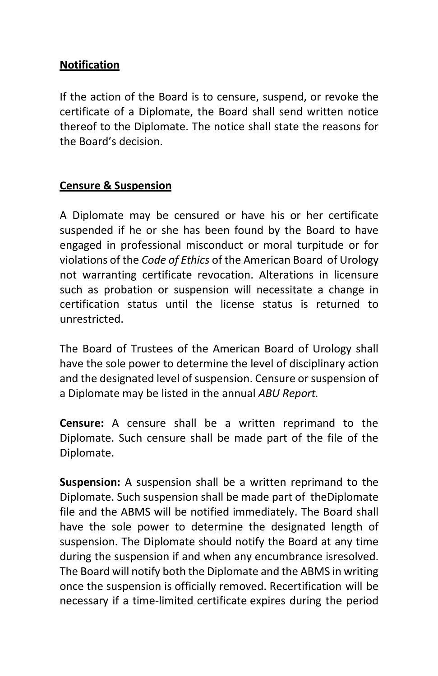#### **Notification**

If the action of the Board is to censure, suspend, or revoke the certificate of a Diplomate, the Board shall send written notice thereof to the Diplomate. The notice shall state the reasons for the Board's decision.

#### **Censure & Suspension**

A Diplomate may be censured or have his or her certificate suspended if he or she has been found by the Board to have engaged in professional misconduct or moral turpitude or for violations of the *Code of Ethics* of the American Board of Urology not warranting certificate revocation. Alterations in licensure such as probation or suspension will necessitate a change in certification status until the license status is returned to unrestricted.

The Board of Trustees of the American Board of Urology shall have the sole power to determine the level of disciplinary action and the designated level of suspension. Censure or suspension of a Diplomate may be listed in the annual *ABU Report.*

**Censure:** A censure shall be a written reprimand to the Diplomate. Such censure shall be made part of the file of the Diplomate.

**Suspension:** A suspension shall be a written reprimand to the Diplomate. Such suspension shall be made part of theDiplomate file and the ABMS will be notified immediately. The Board shall have the sole power to determine the designated length of suspension. The Diplomate should notify the Board at any time during the suspension if and when any encumbrance isresolved. The Board will notify both the Diplomate and the ABMS in writing once the suspension is officially removed. Recertification will be necessary if a time-limited certificate expires during the period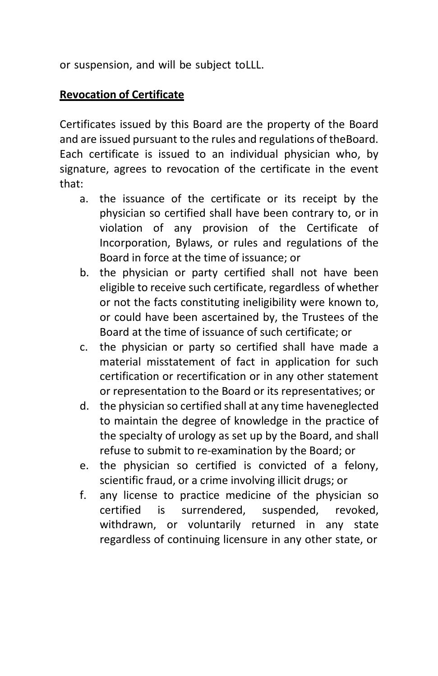or suspension, and will be subject toLLL.

#### **Revocation of Certificate**

Certificates issued by this Board are the property of the Board and are issued pursuant to the rules and regulations of theBoard. Each certificate is issued to an individual physician who, by signature, agrees to revocation of the certificate in the event that:

- a. the issuance of the certificate or its receipt by the physician so certified shall have been contrary to, or in violation of any provision of the Certificate of Incorporation, Bylaws, or rules and regulations of the Board in force at the time of issuance; or
- b. the physician or party certified shall not have been eligible to receive such certificate, regardless of whether or not the facts constituting ineligibility were known to, or could have been ascertained by, the Trustees of the Board at the time of issuance of such certificate; or
- c. the physician or party so certified shall have made a material misstatement of fact in application for such certification or recertification or in any other statement or representation to the Board or its representatives; or
- d. the physician so certified shall at any time haveneglected to maintain the degree of knowledge in the practice of the specialty of urology as set up by the Board, and shall refuse to submit to re-examination by the Board; or
- e. the physician so certified is convicted of a felony, scientific fraud, or a crime involving illicit drugs; or
- f. any license to practice medicine of the physician so certified is surrendered, suspended, revoked, withdrawn, or voluntarily returned in any state regardless of continuing licensure in any other state, or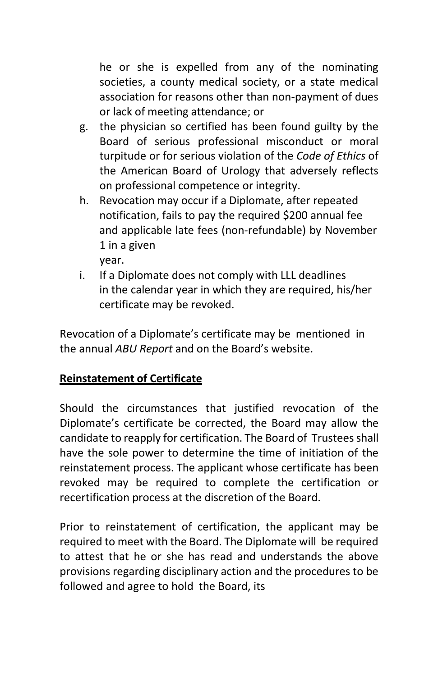he or she is expelled from any of the nominating societies, a county medical society, or a state medical association for reasons other than non-payment of dues or lack of meeting attendance; or

- g. the physician so certified has been found guilty by the Board of serious professional misconduct or moral turpitude or for serious violation of the *Code of Ethics* of the American Board of Urology that adversely reflects on professional competence or integrity.
- h. Revocation may occur if a Diplomate, after repeated notification, fails to pay the required \$200 annual fee and applicable late fees (non-refundable) by November 1 in a given year.
- i. If a Diplomate does not comply with LLL deadlines in the calendar year in which they are required, his/her certificate may be revoked.

Revocation of a Diplomate's certificate may be mentioned in the annual *ABU Report* and on the Board's website.

#### **Reinstatement of Certificate**

Should the circumstances that justified revocation of the Diplomate's certificate be corrected, the Board may allow the candidate to reapply for certification. The Board of Trustees shall have the sole power to determine the time of initiation of the reinstatement process. The applicant whose certificate has been revoked may be required to complete the certification or recertification process at the discretion of the Board.

Prior to reinstatement of certification, the applicant may be required to meet with the Board. The Diplomate will be required to attest that he or she has read and understands the above provisions regarding disciplinary action and the procedures to be followed and agree to hold the Board, its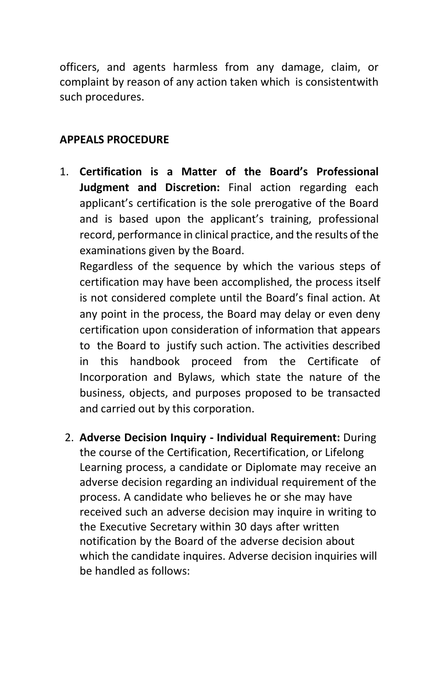officers, and agents harmless from any damage, claim, or complaint by reason of any action taken which is consistentwith such procedures.

### <span id="page-48-0"></span>**APPEALS PROCEDURE**

1. **Certification is a Matter of the Board's Professional Judgment and Discretion:** Final action regarding each applicant's certification is the sole prerogative of the Board and is based upon the applicant's training, professional record, performance in clinical practice, and the results of the examinations given by the Board.

Regardless of the sequence by which the various steps of certification may have been accomplished, the process itself is not considered complete until the Board's final action. At any point in the process, the Board may delay or even deny certification upon consideration of information that appears to the Board to justify such action. The activities described in this handbook proceed from the Certificate of Incorporation and Bylaws, which state the nature of the business, objects, and purposes proposed to be transacted and carried out by this corporation.

2. **Adverse Decision Inquiry - Individual Requirement:** During the course of the Certification, Recertification, or Lifelong Learning process, a candidate or Diplomate may receive an adverse decision regarding an individual requirement of the process. A candidate who believes he or she may have received such an adverse decision may inquire in writing to the Executive Secretary within 30 days after written notification by the Board of the adverse decision about which the candidate inquires. Adverse decision inquiries will be handled as follows: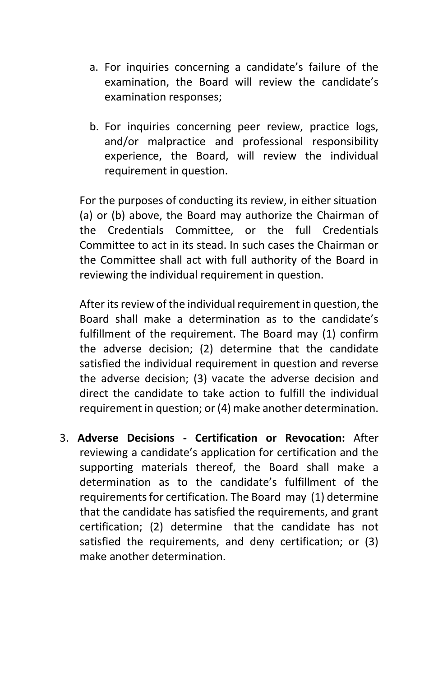- a. For inquiries concerning a candidate's failure of the examination, the Board will review the candidate's examination responses;
- b. For inquiries concerning peer review, practice logs, and/or malpractice and professional responsibility experience, the Board, will review the individual requirement in question.

For the purposes of conducting its review, in either situation (a) or (b) above, the Board may authorize the Chairman of the Credentials Committee, or the full Credentials Committee to act in its stead. In such cases the Chairman or the Committee shall act with full authority of the Board in reviewing the individual requirement in question.

After its review of the individual requirement in question, the Board shall make a determination as to the candidate's fulfillment of the requirement. The Board may (1) confirm the adverse decision; (2) determine that the candidate satisfied the individual requirement in question and reverse the adverse decision; (3) vacate the adverse decision and direct the candidate to take action to fulfill the individual requirement in question; or(4) make another determination.

3. **Adverse Decisions - Certification or Revocation:** After reviewing a candidate's application for certification and the supporting materials thereof, the Board shall make a determination as to the candidate's fulfillment of the requirementsfor certification. The Board may (1) determine that the candidate has satisfied the requirements, and grant certification; (2) determine that the candidate has not satisfied the requirements, and deny certification; or (3) make another determination.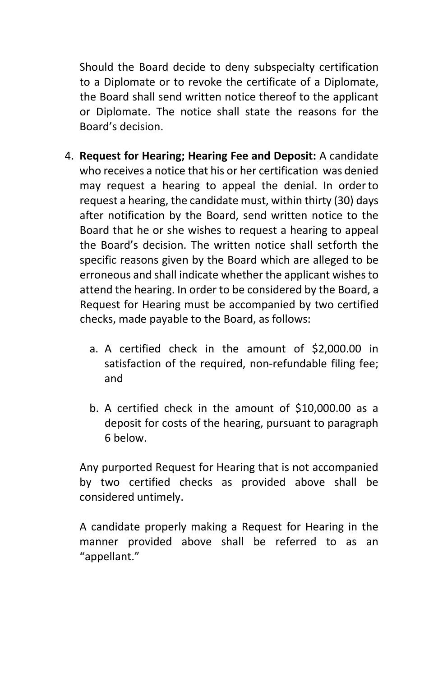Should the Board decide to deny subspecialty certification to a Diplomate or to revoke the certificate of a Diplomate, the Board shall send written notice thereof to the applicant or Diplomate. The notice shall state the reasons for the Board's decision.

- 4. **Request for Hearing; Hearing Fee and Deposit:** A candidate who receives a notice that his or her certification was denied may request a hearing to appeal the denial. In orderto request a hearing, the candidate must, within thirty (30) days after notification by the Board, send written notice to the Board that he or she wishes to request a hearing to appeal the Board's decision. The written notice shall setforth the specific reasons given by the Board which are alleged to be erroneous and shall indicate whether the applicant wishes to attend the hearing. In order to be considered by the Board, a Request for Hearing must be accompanied by two certified checks, made payable to the Board, as follows:
	- a. A certified check in the amount of \$2,000.00 in satisfaction of the required, non-refundable filing fee; and
	- b. A certified check in the amount of \$10,000.00 as a deposit for costs of the hearing, pursuant to paragraph 6 below.

Any purported Request for Hearing that is not accompanied by two certified checks as provided above shall be considered untimely.

A candidate properly making a Request for Hearing in the manner provided above shall be referred to as an "appellant."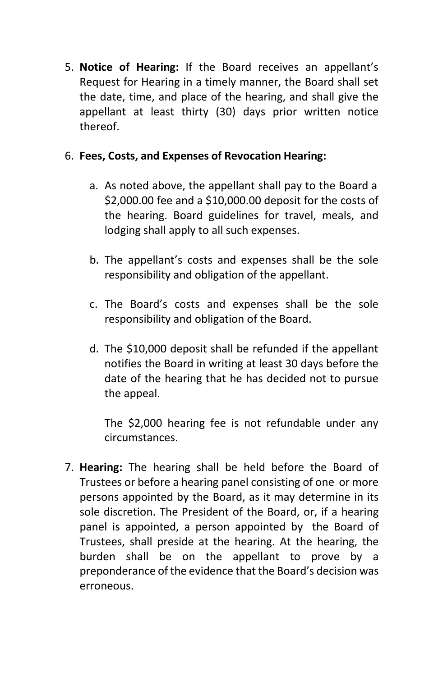5. **Notice of Hearing:** If the Board receives an appellant's Request for Hearing in a timely manner, the Board shall set the date, time, and place of the hearing, and shall give the appellant at least thirty (30) days prior written notice thereof.

#### 6. **Fees, Costs, and Expenses of Revocation Hearing:**

- a. As noted above, the appellant shall pay to the Board a \$2,000.00 fee and a \$10,000.00 deposit for the costs of the hearing. Board guidelines for travel, meals, and lodging shall apply to all such expenses.
- b. The appellant's costs and expenses shall be the sole responsibility and obligation of the appellant.
- c. The Board's costs and expenses shall be the sole responsibility and obligation of the Board.
- d. The \$10,000 deposit shall be refunded if the appellant notifies the Board in writing at least 30 days before the date of the hearing that he has decided not to pursue the appeal.

The \$2,000 hearing fee is not refundable under any circumstances.

7. **Hearing:** The hearing shall be held before the Board of Trustees or before a hearing panel consisting of one or more persons appointed by the Board, as it may determine in its sole discretion. The President of the Board, or, if a hearing panel is appointed, a person appointed by the Board of Trustees, shall preside at the hearing. At the hearing, the burden shall be on the appellant to prove by a preponderance of the evidence that the Board's decision was erroneous.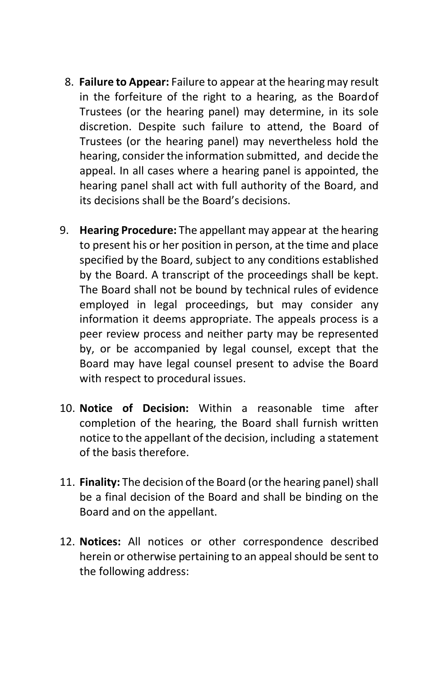- 8. **Failure to Appear:** Failure to appear at the hearing may result in the forfeiture of the right to a hearing, as the Boardof Trustees (or the hearing panel) may determine, in its sole discretion. Despite such failure to attend, the Board of Trustees (or the hearing panel) may nevertheless hold the hearing, consider the information submitted, and decide the appeal. In all cases where a hearing panel is appointed, the hearing panel shall act with full authority of the Board, and its decisions shall be the Board's decisions.
- 9. **Hearing Procedure:** The appellant may appear at the hearing to present his or her position in person, at the time and place specified by the Board, subject to any conditions established by the Board. A transcript of the proceedings shall be kept. The Board shall not be bound by technical rules of evidence employed in legal proceedings, but may consider any information it deems appropriate. The appeals process is a peer review process and neither party may be represented by, or be accompanied by legal counsel, except that the Board may have legal counsel present to advise the Board with respect to procedural issues.
- 10. **Notice of Decision:** Within a reasonable time after completion of the hearing, the Board shall furnish written notice to the appellant of the decision, including a statement of the basis therefore.
- 11. **Finality:** The decision of the Board (or the hearing panel) shall be a final decision of the Board and shall be binding on the Board and on the appellant.
- 12. **Notices:** All notices or other correspondence described herein or otherwise pertaining to an appeal should be sent to the following address: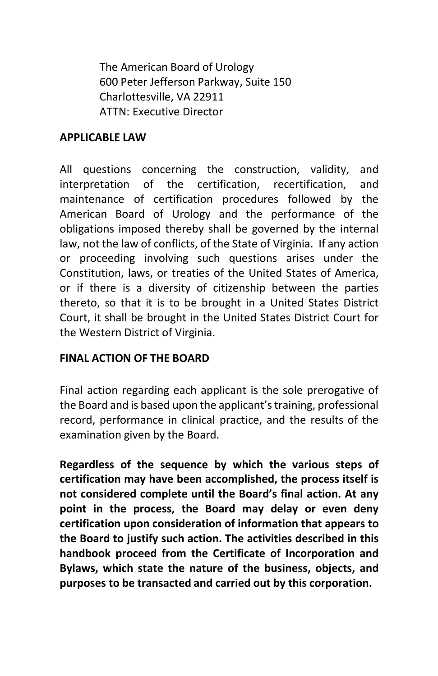The American Board of Urology 600 Peter Jefferson Parkway, Suite 150 Charlottesville, VA 22911 ATTN: Executive Director

#### <span id="page-53-0"></span>**APPLICABLE LAW**

All questions concerning the construction, validity, and interpretation of the certification, recertification, and maintenance of certification procedures followed by the American Board of Urology and the performance of the obligations imposed thereby shall be governed by the internal law, not the law of conflicts, of the State of Virginia. If any action or proceeding involving such questions arises under the Constitution, laws, or treaties of the United States of America, or if there is a diversity of citizenship between the parties thereto, so that it is to be brought in a United States District Court, it shall be brought in the United States District Court for the Western District of Virginia.

#### <span id="page-53-1"></span>**FINAL ACTION OF THE BOARD**

Final action regarding each applicant is the sole prerogative of the Board and is based upon the applicant'straining, professional record, performance in clinical practice, and the results of the examination given by the Board.

**Regardless of the sequence by which the various steps of certification may have been accomplished, the process itself is not considered complete until the Board's final action. At any point in the process, the Board may delay or even deny certification upon consideration of information that appears to the Board to justify such action. The activities described in this handbook proceed from the Certificate of Incorporation and Bylaws, which state the nature of the business, objects, and purposes to be transacted and carried out by this corporation.**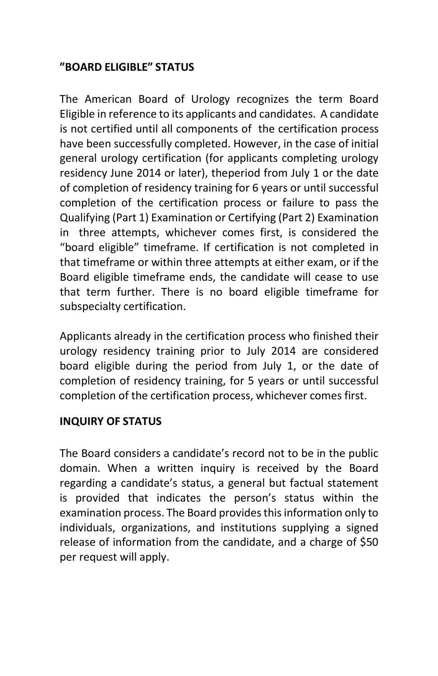#### <span id="page-54-0"></span>**"BOARD ELIGIBLE" STATUS**

The American Board of Urology recognizes the term Board Eligible in reference to its applicants and candidates. A candidate is not certified until all components of the certification process have been successfully completed. However, in the case of initial general urology certification (for applicants completing urology residency June 2014 or later), theperiod from July 1 or the date of completion of residency training for 6 years or until successful completion of the certification process or failure to pass the Qualifying (Part 1) Examination or Certifying (Part 2) Examination in three attempts, whichever comes first, is considered the "board eligible" timeframe. If certification is not completed in that timeframe or within three attempts at either exam, or if the Board eligible timeframe ends, the candidate will cease to use that term further. There is no board eligible timeframe for subspecialty certification.

Applicants already in the certification process who finished their urology residency training prior to July 2014 are considered board eligible during the period from July 1, or the date of completion of residency training, for 5 years or until successful completion of the certification process, whichever comes first.

#### <span id="page-54-1"></span>**INQUIRY OF STATUS**

The Board considers a candidate's record not to be in the public domain. When a written inquiry is received by the Board regarding a candidate's status, a general but factual statement is provided that indicates the person's status within the examination process. The Board provides this information only to individuals, organizations, and institutions supplying a signed release of information from the candidate, and a charge of \$50 per request will apply.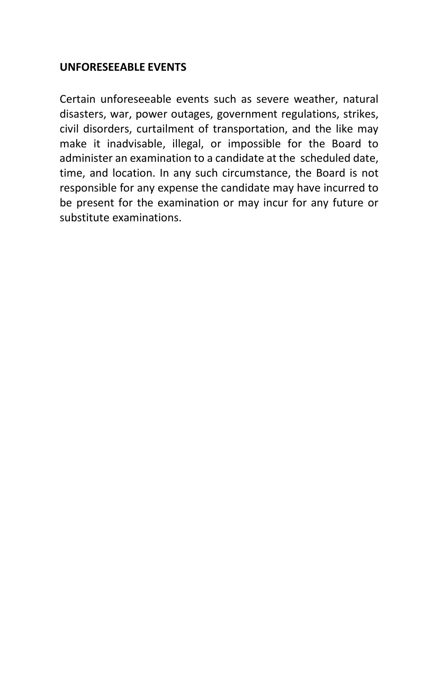#### <span id="page-55-0"></span>**UNFORESEEABLE EVENTS**

Certain unforeseeable events such as severe weather, natural disasters, war, power outages, government regulations, strikes, civil disorders, curtailment of transportation, and the like may make it inadvisable, illegal, or impossible for the Board to administer an examination to a candidate at the scheduled date, time, and location. In any such circumstance, the Board is not responsible for any expense the candidate may have incurred to be present for the examination or may incur for any future or substitute examinations.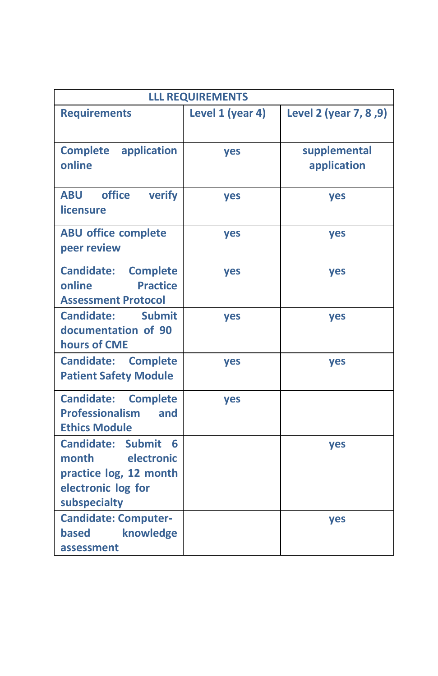| <b>LLL REQUIREMENTS</b>                                                                                       |                  |                             |  |  |  |  |
|---------------------------------------------------------------------------------------------------------------|------------------|-----------------------------|--|--|--|--|
| <b>Requirements</b>                                                                                           | Level 1 (year 4) | Level 2 (year 7, 8, 9)      |  |  |  |  |
| <b>Complete</b> application<br>online                                                                         | yes              | supplemental<br>application |  |  |  |  |
| office<br><b>ABU</b><br>verify<br>licensure                                                                   | yes              | yes                         |  |  |  |  |
| <b>ABU office complete</b><br>peer review                                                                     | yes              | yes                         |  |  |  |  |
| <b>Candidate:</b><br><b>Complete</b><br><b>Practice</b><br>online<br><b>Assessment Protocol</b>               | yes              | yes                         |  |  |  |  |
| <b>Candidate:</b><br><b>Submit</b><br>documentation of 90<br>hours of CME                                     | yes              | yes                         |  |  |  |  |
| <b>Candidate:</b><br><b>Complete</b><br><b>Patient Safety Module</b>                                          | yes              | yes                         |  |  |  |  |
| <b>Candidate:</b><br><b>Complete</b><br><b>Professionalism</b><br>and<br><b>Ethics Module</b>                 | <b>yes</b>       |                             |  |  |  |  |
| Submit 6<br>Candidate:<br>month<br>electronic<br>practice log, 12 month<br>electronic log for<br>subspecialty |                  | yes                         |  |  |  |  |
| <b>Candidate: Computer-</b><br><b>based</b><br>knowledge<br>assessment                                        |                  | <b>yes</b>                  |  |  |  |  |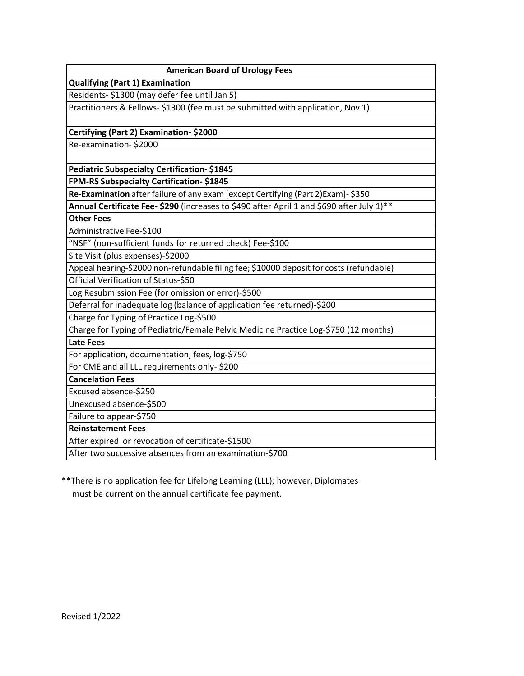| <b>American Board of Urology Fees</b>                                                     |
|-------------------------------------------------------------------------------------------|
| <b>Qualifying (Part 1) Examination</b>                                                    |
| Residents- \$1300 (may defer fee until Jan 5)                                             |
| Practitioners & Fellows- \$1300 (fee must be submitted with application, Nov 1)           |
|                                                                                           |
| Certifying (Part 2) Examination-\$2000                                                    |
| Re-examination-\$2000                                                                     |
|                                                                                           |
| <b>Pediatric Subspecialty Certification-\$1845</b>                                        |
| FPM-RS Subspecialty Certification-\$1845                                                  |
| Re-Examination after failure of any exam [except Certifying (Part 2) Exam]- \$350         |
| Annual Certificate Fee- \$290 (increases to \$490 after April 1 and \$690 after July 1)** |
| <b>Other Fees</b>                                                                         |
| Administrative Fee-\$100                                                                  |
| "NSF" (non-sufficient funds for returned check) Fee-\$100                                 |
| Site Visit (plus expenses)-\$2000                                                         |
| Appeal hearing-\$2000 non-refundable filing fee; \$10000 deposit for costs (refundable)   |
| Official Verification of Status-\$50                                                      |
| Log Resubmission Fee (for omission or error)-\$500                                        |
| Deferral for inadequate log (balance of application fee returned)-\$200                   |
| Charge for Typing of Practice Log-\$500                                                   |
| Charge for Typing of Pediatric/Female Pelvic Medicine Practice Log-\$750 (12 months)      |
| <b>Late Fees</b>                                                                          |
| For application, documentation, fees, log-\$750                                           |
| For CME and all LLL requirements only-\$200                                               |
| <b>Cancelation Fees</b>                                                                   |
| Excused absence-\$250                                                                     |
| Unexcused absence-\$500                                                                   |
| Failure to appear-\$750                                                                   |
| <b>Reinstatement Fees</b>                                                                 |
| After expired or revocation of certificate-\$1500                                         |
| After two successive absences from an examination-\$700                                   |

\*\*There is no application fee for Lifelong Learning (LLL); however, Diplomates must be current on the annual certificate fee payment.